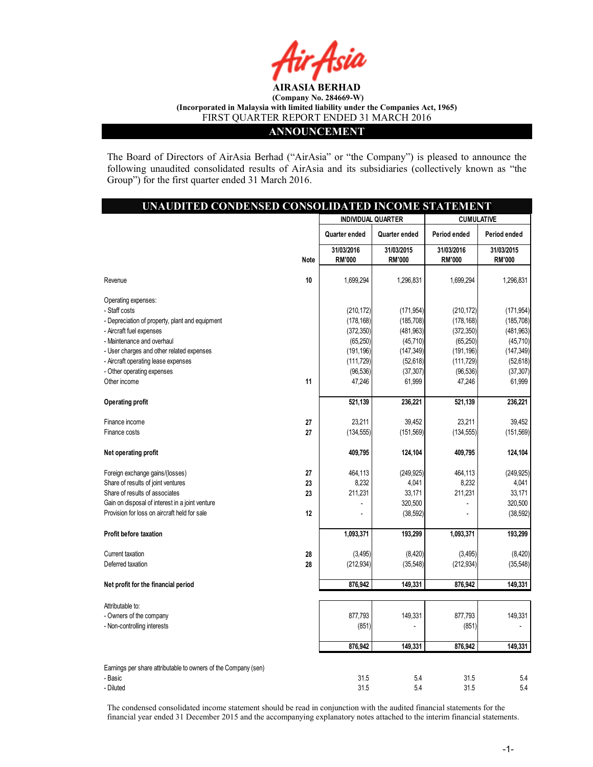

### ANNOUNCEMENT

The Board of Directors of AirAsia Berhad ("AirAsia" or "the Company") is pleased to announce the following unaudited consolidated results of AirAsia and its subsidiaries (collectively known as "the Group") for the first quarter ended 31 March 2016.

| UNAUDITED CONDENSED CONSOLIDATED INCOME STATEMENT                |      |                             |                             |                             |                             |
|------------------------------------------------------------------|------|-----------------------------|-----------------------------|-----------------------------|-----------------------------|
|                                                                  |      | <b>INDIVIDUAL QUARTER</b>   |                             | <b>CUMULATIVE</b>           |                             |
|                                                                  |      | Quarter ended               | Quarter ended               | Period ended                | Period ended                |
|                                                                  | Note | 31/03/2016<br><b>RM'000</b> | 31/03/2015<br><b>RM'000</b> | 31/03/2016<br><b>RM'000</b> | 31/03/2015<br><b>RM'000</b> |
| Revenue                                                          | 10   | 1,699,294                   | 1,296,831                   | 1,699,294                   | 1,296,831                   |
| Operating expenses:                                              |      |                             |                             |                             |                             |
| - Staff costs<br>- Depreciation of property, plant and equipment |      | (210, 172)<br>(178, 168)    | (171, 954)<br>(185, 708)    | (210, 172)<br>(178, 168)    | (171, 954)<br>(185, 708)    |
| - Aircraft fuel expenses                                         |      | (372, 350)                  | (481, 963)                  | (372, 350)                  | (481,963)                   |
| - Maintenance and overhaul                                       |      | (65, 250)                   | (45, 710)                   | (65, 250)                   | (45, 710)                   |
| - User charges and other related expenses                        |      | (191, 196)                  | (147, 349)                  | (191, 196)                  | (147, 349)                  |
| - Aircraft operating lease expenses                              |      | (111, 729)                  | (52, 618)                   | (111, 729)                  | (52, 618)                   |
| - Other operating expenses                                       |      | (96, 536)                   | (37, 307)                   | (96, 536)                   | (37, 307)                   |
| Other income                                                     | 11   | 47,246                      | 61,999                      | 47,246                      | 61,999                      |
| <b>Operating profit</b>                                          |      | 521,139                     | 236,221                     | 521,139                     | 236,221                     |
| Finance income                                                   | 27   | 23,211                      | 39,452                      | 23,211                      | 39.452                      |
| Finance costs                                                    | 27   | (134, 555)                  | (151, 569)                  | (134, 555)                  | (151, 569)                  |
| Net operating profit                                             |      | 409,795                     | 124,104                     | 409,795                     | 124,104                     |
| Foreign exchange gains/(losses)                                  | 27   | 464,113                     | (249, 925)                  | 464,113                     | (249.925)                   |
| Share of results of joint ventures                               | 23   | 8,232                       | 4,041                       | 8,232                       | 4,041                       |
| Share of results of associates                                   | 23   | 211,231                     | 33,171                      | 211,231                     | 33,171                      |
| Gain on disposal of interest in a joint venture                  |      |                             | 320,500                     |                             | 320,500                     |
| Provision for loss on aircraft held for sale                     | 12   |                             | (38, 592)                   |                             | (38, 592)                   |
| Profit before taxation                                           |      | 1,093,371                   | 193,299                     | 1,093,371                   | 193,299                     |
| Current taxation                                                 | 28   | (3, 495)                    | (8,420)                     | (3, 495)                    | (8,420)                     |
| Deferred taxation                                                | 28   | (212, 934)                  | (35, 548)                   | (212, 934)                  | (35, 548)                   |
| Net profit for the financial period                              |      | 876,942                     | 149,331                     | 876,942                     | 149,331                     |
| Attributable to:                                                 |      |                             |                             |                             |                             |
| - Owners of the company                                          |      | 877,793                     | 149,331                     | 877,793                     | 149,331                     |
| - Non-controlling interests                                      |      | (851)                       |                             | (851)                       |                             |
|                                                                  |      | 876,942                     | 149,331                     | 876,942                     | 149,331                     |
| Earnings per share attributable to owners of the Company (sen)   |      |                             |                             |                             |                             |
| - Basic                                                          |      | 31.5                        | 5.4                         | 31.5                        | 5.4                         |
| - Diluted                                                        |      | 31.5                        | 5.4                         | 31.5                        | 5.4                         |

The condensed consolidated income statement should be read in conjunction with the audited financial statements for the financial year ended 31 December 2015 and the accompanying explanatory notes attached to the interim financial statements.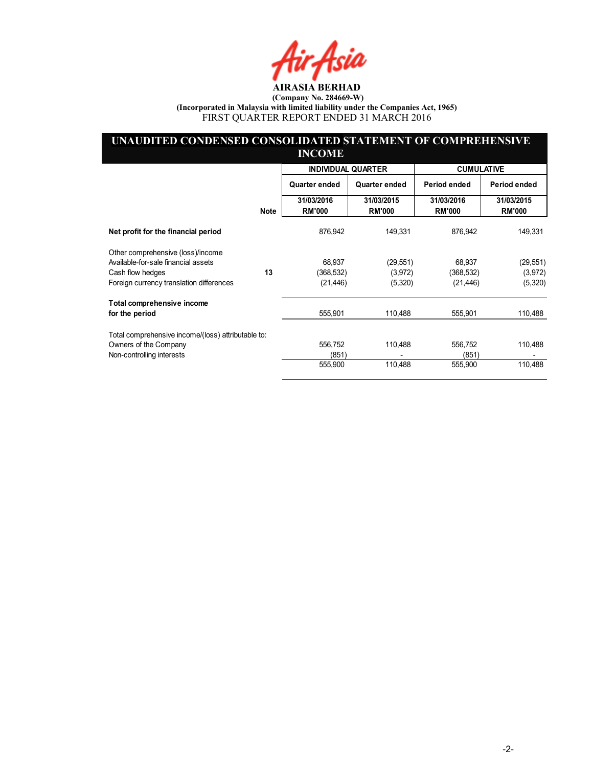fir Asia

### UNAUDITED CONDENSED CONSOLIDATED STATEMENT OF COMPREHENSIVE INCOME

|                                                    |             | <b>INDIVIDUAL QUARTER</b>   |                             | <b>CUMULATIVE</b>           |                             |
|----------------------------------------------------|-------------|-----------------------------|-----------------------------|-----------------------------|-----------------------------|
|                                                    |             | Quarter ended               | Quarter ended               | Period ended                | Period ended                |
|                                                    | <b>Note</b> | 31/03/2016<br><b>RM'000</b> | 31/03/2015<br><b>RM'000</b> | 31/03/2016<br><b>RM'000</b> | 31/03/2015<br><b>RM'000</b> |
| Net profit for the financial period                |             | 876,942                     | 149,331                     | 876,942                     | 149,331                     |
| Other comprehensive (loss)/income                  |             |                             |                             |                             |                             |
| Available-for-sale financial assets                |             | 68,937                      | (29, 551)                   | 68,937                      | (29, 551)                   |
| Cash flow hedges                                   | 13          | (368,532)                   | (3,972)                     | (368,532)                   | (3,972)                     |
| Foreign currency translation differences           |             | (21, 446)                   | (5,320)                     | (21, 446)                   | (5,320)                     |
| Total comprehensive income                         |             |                             |                             |                             |                             |
| for the period                                     |             | 555,901                     | 110,488                     | 555,901                     | 110,488                     |
| Total comprehensive income/(loss) attributable to: |             |                             |                             |                             |                             |
| Owners of the Company                              |             | 556.752                     | 110,488                     | 556,752                     | 110,488                     |
| Non-controlling interests                          |             | (851)                       |                             | (851)                       |                             |
|                                                    |             | 555,900                     | 110,488                     | 555,900                     | 110,488                     |
|                                                    |             |                             |                             |                             |                             |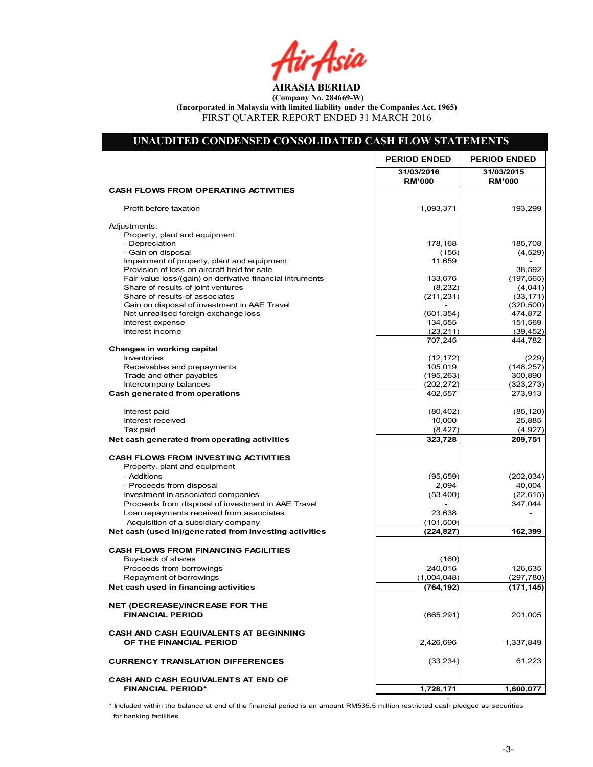Air<sub>t</sub>Asia

### UNAUDITED CONDENSED CONSOLIDATED CASH FLOW STATEMENTS 31/03/2016 31/03/2015<br>RM'000 RM'000 RM'000 RM'000 CASH FLOWS FROM OPERATING ACTIVITIES Profit before taxation 193,299 1,093,371 1,093,371 1,093,271 1,093,299 Adjustments: Property, plant and equipment<br>- Depreciation - Depreciation 185,708 185,708 185,708 178,168 178,168 185,708 185,708 185,708 1 - Gain on disposal (4,529)<br>Impairment of property, plant and equipment (156) (156) (1569 (4,529) Impairment of property, plant and equipment  $\begin{array}{|l|l|}\n\hline\n\text{Provision of loss on aircraft held for sale} & & & \\
\hline\n\end{array}$ Provision of loss on aircraft held for sale<br>
Fair value loss/(gain) on derivative financial intruments 133,676 133,676 (197,565) Fair value loss/(gain) on derivative financial intruments 133,676 (197,565) (197,565)<br>Share of results of joint ventures (197,565) (197,565) (197,565) Share of results of joint ventures Share of results of associates (33,171) (33,171) (33,171) (33,171) (33,171) Gain on disposal of investment in AAE Travel Net unrealised foreign exchange loss (601,354) 474,872<br>
Interest expense 151,569 134,555 Interest expense Interest income (23,211) (39,452)<br>
23,444,782 (23,211) (39,452) 707,245 Changes in working capital Inventories (12,172) (229) Receivables and prepayments and the set of the set of the set of the set of the set of the set of the set of the set of the set of the set of the set of the set of the set of the set of the set of the set of the set of the Trade and other payables 300,890 (195,263) Intercompany balances (323,273) (323,273)<br> **h** generated from operations (202,272) (202,272) (323,273) (323,273) Cash generated from operations Interest paid (85,120) (80,402) Interest received 25,885 10,000 25,885 10,000 25,885 10,000 25,885 10,000 25,885 10,000 25,885 10,000 25,885 10,000 25,885 10,000 25,885 10,000 25,885 10,000 25,885 10,000 25,885 10,000 25,885 10,000 25,885 10,000 10,000 1  $\begin{array}{|c|c|c|c|c|}\hline \text{Tax paid} & & \text{(4,927)} \ \hline \end{array}$ Net cash generated from operating activities 209,751 209,751 CASH FLOWS FROM INVESTING ACTIVITIES Property, plant and equipment - Additions (202,034) (95,659) Proceeds from disposal and the set of the control of the control of the control of the control of the control of the control of the control of the control of the control of the control of the control of the control of the Investment in associated companies (22,615) (53,400) Proceeds from disposal of investment in AAE Travel - 347,044 Loan repayments received from associates and the control of a subsidiary company and the control of a subsidiary company of the control of a subsidiary company of the control of a subsidiary company of the control of the c Acquisition of a subsidiary company Net cash (used in)/generated from investing activities (224,827) (224,827) 162,399 CASH FLOWS FROM FINANCING FACILITIES Buy-back of shares (160) (160) (160) (160) (160) (160) (160) (160) (160) (160) (160) (160) (160) (160) (160) (160) (160) (160) (160) (160) (160) (160) (160) (160) (160) (160) (160) (160) (160) (160) (160) (160) (160) (160) Proceeds from borrowings 126,635 240,016 25 25 25 25 26,635 25 26,635 26 27 27 28 29 29 29 29 29 27 28 29 27 28 Repayment of borrowings  $(297,780)$ Net cash used in financing activities (171,145) (171,145) (764,192) (171,145) NET (DECREASE)/INCREASE FOR THE **FINANCIAL PERIOD 201,005** (665,291) 201,005 CASH AND CASH EQUIVALENTS AT BEGINNING OF THE FINANCIAL PERIOD 1,337,849 CURRENCY TRANSLATION DIFFERENCES (33,234) 61,223 CASH AND CASH EQUIVALENTS AT END OF FINANCIAL PERIOD\* 1,728,171 1,600,077 Net Cash Flow - - PERIOD ENDED | PERIOD ENDED

\* Included within the balance at end of the financial period is an amount RM535.5 million restricted cash pledged as securities for banking facilities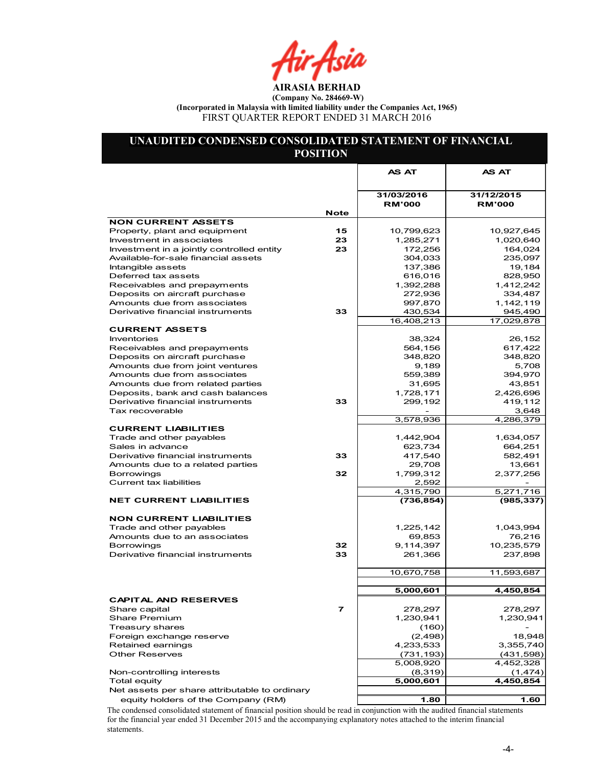Air Asia

### UNAUDITED CONDENSED CONSOLIDATED STATEMENT OF FINANCIAL POSITION

|                                                              |      | <b>AS AT</b>                | AS AT                       |
|--------------------------------------------------------------|------|-----------------------------|-----------------------------|
|                                                              |      |                             |                             |
|                                                              |      | 31/03/2016<br><b>RM'000</b> | 31/12/2015<br><b>RM'000</b> |
|                                                              | Note |                             |                             |
| <b>NON CURRENT ASSETS</b>                                    |      |                             |                             |
| Property, plant and equipment                                | 15   | 10,799,623                  | 10,927,645                  |
| Investment in associates                                     | 23   | 1,285,271                   | 1,020,640                   |
| Investment in a jointly controlled entity                    | 23   | 172,256                     | 164,024                     |
| Available-for-sale financial assets                          |      | 304,033                     | 235,097                     |
| Intangible assets                                            |      | 137,386                     | 19,184                      |
| Deferred tax assets                                          |      | 616,016                     | 828,950<br>1.412.242        |
| Receivables and prepayments<br>Deposits on aircraft purchase |      | 1,392,288<br>272,936        | 334,487                     |
| Amounts due from associates                                  |      | 997,870                     | 1,142,119                   |
| Derivative financial instruments                             | 33   | 430,534                     | 945,490                     |
|                                                              |      | 16,408,213                  | 17,029,878                  |
| <b>CURRENT ASSETS</b>                                        |      |                             |                             |
| Inventories                                                  |      | 38,324                      | 26,152                      |
| Receivables and prepayments                                  |      | 564,156                     | 617,422                     |
| Deposits on aircraft purchase                                |      | 348,820                     | 348,820                     |
| Amounts due from joint ventures                              |      | 9,189                       | 5,708                       |
| Amounts due from associates                                  |      | 559,389                     | 394,970                     |
| Amounts due from related parties                             |      | 31,695                      | 43,851                      |
| Deposits, bank and cash balances                             |      | 1,728,171                   | 2,426,696                   |
| Derivative financial instruments                             | 33   | 299,192                     | 419,112                     |
| Tax recoverable                                              |      |                             | 3,648                       |
|                                                              |      | 3,578,936                   | 4,286,379                   |
| <b>CURRENT LIABILITIES</b>                                   |      |                             |                             |
| Trade and other payables                                     |      | 1,442,904                   | 1,634,057                   |
| Sales in advance                                             |      | 623,734                     | 664,251                     |
| Derivative financial instruments                             | 33   | 417,540                     | 582,491                     |
| Amounts due to a related parties                             |      | 29,708                      | 13,661                      |
| Borrowings                                                   | 32   | 1,799,312                   | 2,377,256                   |
| Current tax liabilities                                      |      | 2,592<br>4,315,790          | 5,271,716                   |
| <b>NET CURRENT LIABILITIES</b>                               |      | (736, 854)                  | (985, 337)                  |
|                                                              |      |                             |                             |
| <b>NON CURRENT LIABILITIES</b>                               |      |                             |                             |
| Trade and other payables                                     |      | 1,225,142                   | 1,043,994                   |
| Amounts due to an associates                                 |      | 69,853                      | 76,216                      |
| Borrowings                                                   | 32   | 9,114,397                   | 10,235,579                  |
| Derivative financial instruments                             | 33   | 261,366                     | 237,898                     |
|                                                              |      | 10,670,758                  | 11,593,687                  |
|                                                              |      |                             |                             |
|                                                              |      | 5,000,601                   | 4,450,854                   |
| CAPIIAL AND RESERVES                                         |      |                             |                             |
| Share capital                                                | 7    | 278,297                     | 278,297                     |
| <b>Share Premium</b>                                         |      | 1,230,941                   | 1,230,941                   |
| Treasury shares                                              |      | (160)                       |                             |
| Foreign exchange reserve                                     |      | (2, 498)                    | 18,948                      |
| Retained earnings                                            |      | 4,233,533                   | 3,355,740                   |
| <b>Other Reserves</b>                                        |      | (731, 193)                  | (431,598)                   |
| Non-controlling interests                                    |      | 5,008,920                   | 4,452,328                   |
| <b>Total equity</b>                                          |      | (8,319)<br>5,000,601        | (1, 474)<br>4,450,854       |
| Net assets per share attributable to ordinary                |      |                             |                             |
| equity holders of the Company (RM)                           |      | 1.80                        | 1.60                        |
|                                                              |      |                             |                             |

The condensed consolidated statement of financial position should be read in conjunction with the audited financial statements for the financial year ended 31 December 2015 and the accompanying explanatory notes attached to the interim financial statements.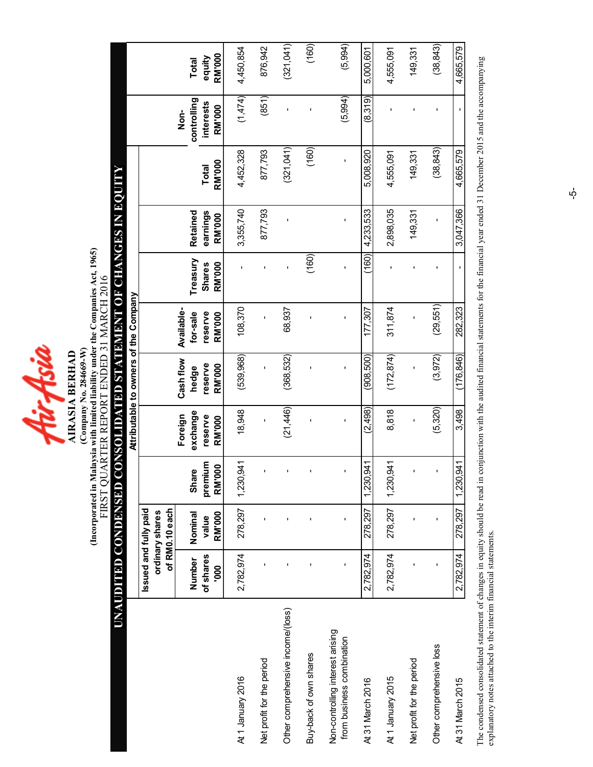4irAsia **AIRASIA BERHAD** 

(Incorporated in Malaysia with limited liability under the Companies Act, 1965) (Incorporated in Malaysia with limited liability under the Companies Act, 1965) FIRST QUARTER REPORT ENDED 31 MARCH 2016 FIRST QUARTER REPORT ENDED 31 MARCH 2016 (Company No. 284669-W) (Company No. 284669-W) AIRASIA BERHAD

## UNAUDITED CONDENSED CONSOLIDATED STATEMENT OF CHANGES IN EQUITY Ō<br>B UNAUDITED CONDENSED CONSOLIDATED STATEMENT OF CHANGES IN

|                                                               |                       |                                   |                         |                                | Attributable to owners of the Company |                                   |                           |                      |               |                                  |                 |
|---------------------------------------------------------------|-----------------------|-----------------------------------|-------------------------|--------------------------------|---------------------------------------|-----------------------------------|---------------------------|----------------------|---------------|----------------------------------|-----------------|
|                                                               | Issued and fully paid | of RM0.10 each<br>ordinary shares |                         |                                |                                       |                                   |                           |                      |               |                                  |                 |
|                                                               | of shares<br>Number   | Nominal<br>value                  | premium<br><b>Share</b> | exchange<br>Foreign<br>reserve | Cash flow<br>reserve<br>hedge         | Available-<br>reserve<br>for-sale | Treasury<br><b>Shares</b> | Retained<br>earnings | Total         | controlling<br>interests<br>Non- | equity<br>Total |
|                                                               | 000                   | <b>RM'000</b>                     | <b>RM'000</b>           | <b>RM'000</b>                  | <b>RM'000</b>                         | <b>RM'000</b>                     | RM'000                    | <b>RM'000</b>        | <b>RM'000</b> | <b>RM'000</b>                    | RM'000          |
| At 1 January 2016                                             | 2,782,974             | 278,297                           | ,941<br>1,230           | 18,948                         | (539, 968)                            | 108,370                           |                           | 3,355,740            | 4,452,328     | (1,474)                          | 4,450,854       |
| Net profit for the period                                     |                       | ı                                 |                         |                                | $\mathbf{I}$                          |                                   |                           | 877,793              | 877,793       | (851)                            | 876,942         |
| Other comprehensive income/(loss)                             |                       | 1                                 | ı                       | (21,446)                       | (368, 532)                            | 68,937                            | ı                         |                      | (321,041)     |                                  | (321,041)       |
| Buy-back of own shares                                        |                       |                                   |                         |                                |                                       |                                   | (160)                     |                      | (160)         |                                  | (160)           |
| Non-controlling interest arising<br>from business combination | ı                     | ı                                 | ı                       | ı                              | ı                                     |                                   | ı                         | ı                    |               | (5,994)                          | (5,994)         |
| At 31 March 2016                                              | 2,782,974             | 278,297                           | ,941<br>1,230           | (2,498)                        | (908, 500)                            | 177,307                           | (160)                     | 4,233,533            | 5,008,920     | (8,319)                          | 5,000,601       |
| At 1 January 2015                                             | 2,782,974             | 278,297                           | $-941$<br>1,230         | 8,818                          | (172, 874)                            | 311,874                           |                           | 2,898,035            | 4,555,091     |                                  | 4,555,091       |
| Net profit for the period                                     |                       | ı                                 |                         | ı                              | ı                                     |                                   | ı                         | 149,331              | 149,331       |                                  | 149,331         |
| Other comprehensive loss                                      |                       | ı                                 |                         | (5,320)                        | (3,972)                               | (29, 551)                         |                           |                      | (38, 843)     |                                  | (38, 843)       |
| At 31 March 2015                                              | 2,782,974             | 278,297                           | ,941<br>1,230           | 3,498                          | (176, 846)                            | 282,323                           |                           | 3,047,366            | 4,665,579     |                                  | 4,665,579       |

The condensed consolidated statement of changes in equity should be read in conjunction with the audited financial statements for the financial year ended 31 December 2015 and the accompanying<br>explanatory notes attached to The condensed consolidated statement of changes in equity should be read in conjunction with the audited financial statements for the financial year ended 31 December 2015 and the accompanying explanatory notes attached to the interim financial statements.

 $\vec{\mathsf{p}}$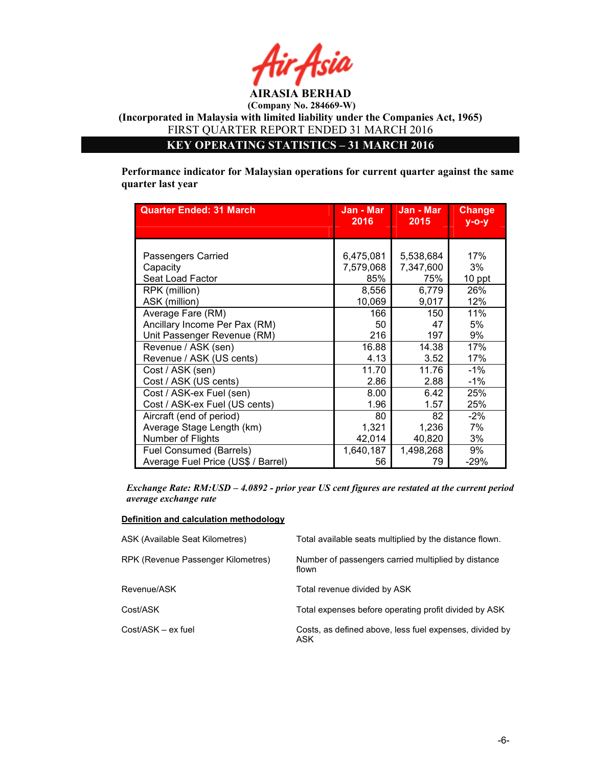

KEY OPERATING STATISTICS – 31 MARCH 2016

Performance indicator for Malaysian operations for current quarter against the same quarter last year

| <b>Quarter Ended: 31 March</b>     | Jan - Mar<br>2016 | Jan - Mar<br>2015 | <b>Change</b><br>$V - O - V$ |
|------------------------------------|-------------------|-------------------|------------------------------|
|                                    |                   |                   |                              |
|                                    |                   |                   |                              |
| Passengers Carried                 | 6,475,081         | 5,538,684         | 17%                          |
| Capacity                           | 7,579,068         | 7,347,600         | 3%                           |
| Seat Load Factor                   | 85%               | 75%               | 10 ppt                       |
| RPK (million)                      | 8,556             | 6,779             | 26%                          |
| ASK (million)                      | 10,069            | 9,017             | 12%                          |
| Average Fare (RM)                  | 166               | 150               | 11%                          |
| Ancillary Income Per Pax (RM)      | 50                | 47                | 5%                           |
| Unit Passenger Revenue (RM)        | 216               | 197               | 9%                           |
| Revenue / ASK (sen)                | 16.88             | 14.38             | 17%                          |
| Revenue / ASK (US cents)           | 4.13              | 3.52              | 17%                          |
| Cost / ASK (sen)                   | 11.70             | 11.76             | $-1%$                        |
| Cost / ASK (US cents)              | 2.86              | 2.88              | $-1%$                        |
| Cost / ASK-ex Fuel (sen)           | 8.00              | 6.42              | 25%                          |
| Cost / ASK-ex Fuel (US cents)      | 1.96              | 1.57              | 25%                          |
| Aircraft (end of period)           | 80                | 82                | $-2%$                        |
| Average Stage Length (km)          | 1,321             | 1,236             | 7%                           |
| Number of Flights                  | 42,014            | 40,820            | 3%                           |
| Fuel Consumed (Barrels)            | 1,640,187         | 1,498,268         | 9%                           |
| Average Fuel Price (US\$ / Barrel) | 56                | 79                | $-29%$                       |

Exchange Rate: RM:USD – 4.0892 - prior year US cent figures are restated at the current period average exchange rate

### Definition and calculation methodology

| ASK (Available Seat Kilometres)    | Total available seats multiplied by the distance flown.        |
|------------------------------------|----------------------------------------------------------------|
| RPK (Revenue Passenger Kilometres) | Number of passengers carried multiplied by distance<br>flown   |
| Revenue/ASK                        | Total revenue divided by ASK                                   |
| Cost/ASK                           | Total expenses before operating profit divided by ASK          |
| Cost/ASK - ex fuel                 | Costs, as defined above, less fuel expenses, divided by<br>ASK |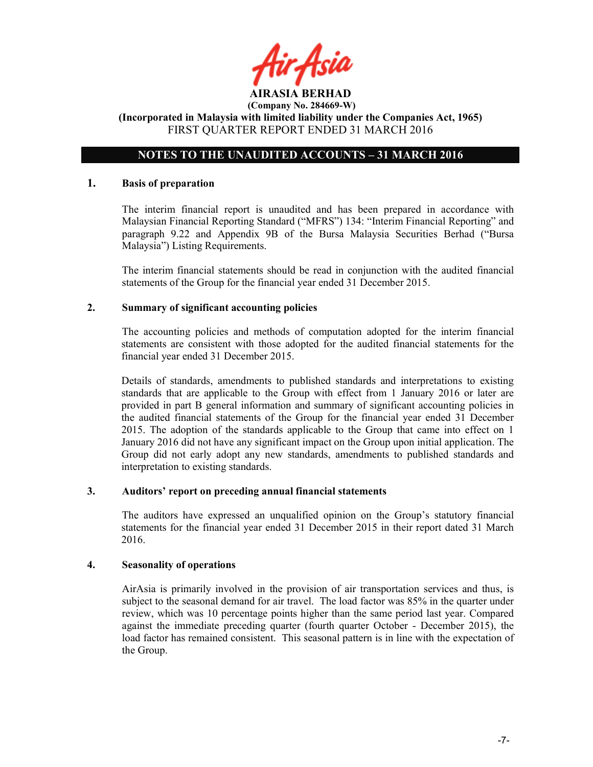### NOTES TO THE UNAUDITED ACCOUNTS – 31 MARCH 2016

### 1. Basis of preparation

The interim financial report is unaudited and has been prepared in accordance with Malaysian Financial Reporting Standard ("MFRS") 134: "Interim Financial Reporting" and paragraph 9.22 and Appendix 9B of the Bursa Malaysia Securities Berhad ("Bursa Malaysia") Listing Requirements.

The interim financial statements should be read in conjunction with the audited financial statements of the Group for the financial year ended 31 December 2015.

### 2. Summary of significant accounting policies

The accounting policies and methods of computation adopted for the interim financial statements are consistent with those adopted for the audited financial statements for the financial year ended 31 December 2015.

Details of standards, amendments to published standards and interpretations to existing standards that are applicable to the Group with effect from 1 January 2016 or later are provided in part B general information and summary of significant accounting policies in the audited financial statements of the Group for the financial year ended 31 December 2015. The adoption of the standards applicable to the Group that came into effect on 1 January 2016 did not have any significant impact on the Group upon initial application. The Group did not early adopt any new standards, amendments to published standards and interpretation to existing standards.

### 3. Auditors' report on preceding annual financial statements

The auditors have expressed an unqualified opinion on the Group's statutory financial statements for the financial year ended 31 December 2015 in their report dated 31 March 2016.

### 4. Seasonality of operations

AirAsia is primarily involved in the provision of air transportation services and thus, is subject to the seasonal demand for air travel. The load factor was 85% in the quarter under review, which was 10 percentage points higher than the same period last year. Compared against the immediate preceding quarter (fourth quarter October - December 2015), the load factor has remained consistent. This seasonal pattern is in line with the expectation of the Group.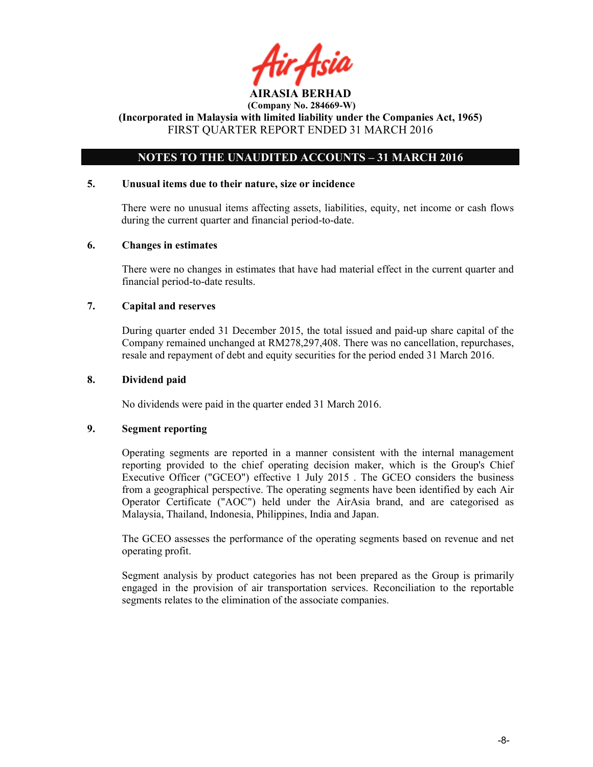ir Asii AIRASIA BERHAD

### NOTES TO THE UNAUDITED ACCOUNTS – 31 MARCH 2016

### 5. Unusual items due to their nature, size or incidence

There were no unusual items affecting assets, liabilities, equity, net income or cash flows during the current quarter and financial period-to-date.

### 6. Changes in estimates

There were no changes in estimates that have had material effect in the current quarter and financial period-to-date results.

### 7. Capital and reserves

During quarter ended 31 December 2015, the total issued and paid-up share capital of the Company remained unchanged at RM278,297,408. There was no cancellation, repurchases, resale and repayment of debt and equity securities for the period ended 31 March 2016.

### 8. Dividend paid

No dividends were paid in the quarter ended 31 March 2016.

### 9. Segment reporting

Operating segments are reported in a manner consistent with the internal management reporting provided to the chief operating decision maker, which is the Group's Chief Executive Officer ("GCEO") effective 1 July 2015 . The GCEO considers the business from a geographical perspective. The operating segments have been identified by each Air Operator Certificate ("AOC") held under the AirAsia brand, and are categorised as Malaysia, Thailand, Indonesia, Philippines, India and Japan.

The GCEO assesses the performance of the operating segments based on revenue and net operating profit.

Segment analysis by product categories has not been prepared as the Group is primarily engaged in the provision of air transportation services. Reconciliation to the reportable segments relates to the elimination of the associate companies.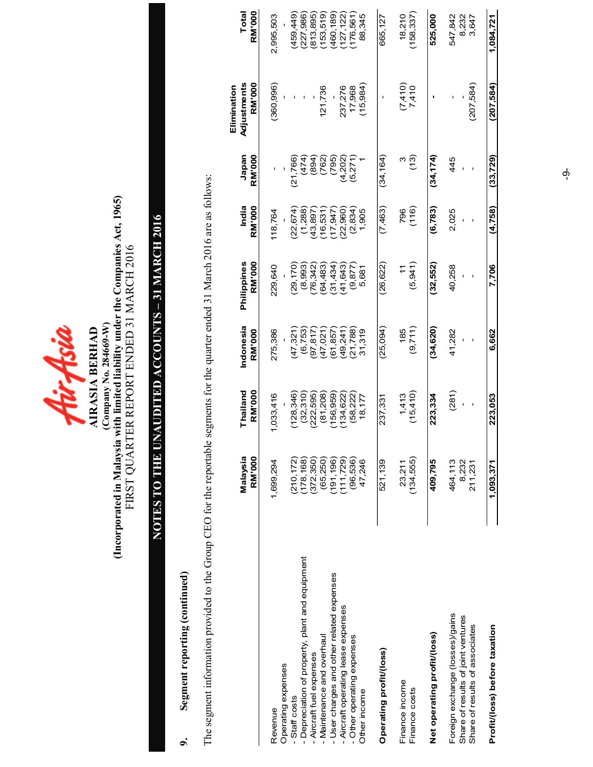

### (Company No. 284669-W)<br>(Incorporated in Malaysia with limited liability under the Companies Act, 1965)<br>FIRST QUARTER REPORT ENDED 31 MARCH 2016 (Incorporated in Malaysia with limited liability under the Companies Act, 1965) FIRST QUARTER REPORT ENDED 31 MARCH 2016 (Company No. 284669-W)

## NOTES TO THE UNAUDITED ACCOUNTS – 31 MARCH 2016 NOTES TO THE UNAUDITED ACCOUNTS - 31 MARCH 2016

### 9. Segment reporting (continued) Segment reporting (continued)  $\sigma$

The segment information provided to the Group CEO for the reportable segments for the quarter ended 31 March 2016 are as follows: The segment information provided to the Group CEO for the reportable segments for the quarter ended 31 March 2016 are as follows:

|                                                                                                         | Malaysia<br><b>RM'000</b>   | Thailand<br><b>RM'000</b> | Indonesia<br><b>RM'000</b> | RM'000<br>Philippines  | India<br><b>RM'000</b>   | Japan<br><b>RM'000</b> | Adjustments<br><b>RM'000</b><br>Elimination | <b>RM'000</b><br>Total    |
|---------------------------------------------------------------------------------------------------------|-----------------------------|---------------------------|----------------------------|------------------------|--------------------------|------------------------|---------------------------------------------|---------------------------|
| Revenue                                                                                                 | 1,699,294                   | 1,033,416                 | 275,386                    | 229,640                | 118,764                  |                        | (360, 996)                                  | 2,995,503                 |
| Operating expenses<br>Staff costs                                                                       | (210, 172)                  | 128,346                   | (47, 321)                  | (29, 170)              | (22, 674)                | (21, 766)              |                                             | 459,449)                  |
| - Depreciation of property, plant and equipment<br>Aircraft fuel expenses                               | (178, 168)<br>(372, 350)    | (32, 310)<br>(222, 595)   | (6,753)<br>(97, 817)       | (8,993)<br>(24.342)    | (1,288)<br>43,897)       | (474)<br>(894)         |                                             | (227, 986)<br>813,895)    |
| - User charges and other related expenses<br>- Maintenance and overhaul                                 | (191, 196)<br>(65, 250)     | (81,208)<br>156,959       | (61, 857)<br>(47,021)      | (64, 483)<br>(31, 434) | $(16,531)$<br>$(17,947)$ | (762)<br>(795)         | 121,736                                     | (460, 189)<br>153,519)    |
| Aircraft operating lease expenses                                                                       | (111, 729)                  | 134,622                   | (49, 241)                  | (41, 643)              | (22, 960)                | (4, 202)               | 237,276                                     | 127, 122)                 |
| - Other operating expenses                                                                              | (96, 536)                   | (58, 222)                 | (21, 788)                  | (9, 877)               | (2, 834)                 | (5,271)                | 17,968                                      | 176,561)                  |
| Other income                                                                                            | 47,246                      | 18,177                    | 31,319                     | 5,681                  | 1,905                    |                        | (15, 984)                                   | 88,345                    |
| Operating profit/(loss)                                                                                 | 521,139                     | 237,331                   | (25,094)                   | (26,622)               | (7,463)                  | (34, 164)              |                                             | 665,127                   |
| Finance income<br>Finance costs                                                                         | (134, 555)<br>23,211        | (15, 410)<br>1,413        | (9,711)<br>185             | (5, 941)               | (116)<br>796             | (13)                   | $7,410$<br>7.410                            | (158, 337)<br>18,210      |
| Net operating profit/(loss)                                                                             | 409,795                     | 223,334                   | (34, 620)                  | (32, 552)              | (6, 783)                 | (34, 174)              |                                             | 525,000                   |
| Foreign exchange (losses)/gains<br>Share of results of joint ventures<br>Share of results of associates | 464,113<br>8,232<br>211,231 | (281)<br>$\mathbf I$      | 41,282                     | 40,258                 | 2,025                    | 445                    | (207, 584)                                  | 547,842<br>8,232<br>3,647 |
| Profit/(loss) before taxation                                                                           | 1.093.371                   | 223,053                   | 6,662                      | 7,706                  | (4, 758)                 | (33,729)               | (207,584)                                   | 1,084,721                 |

 $\phi$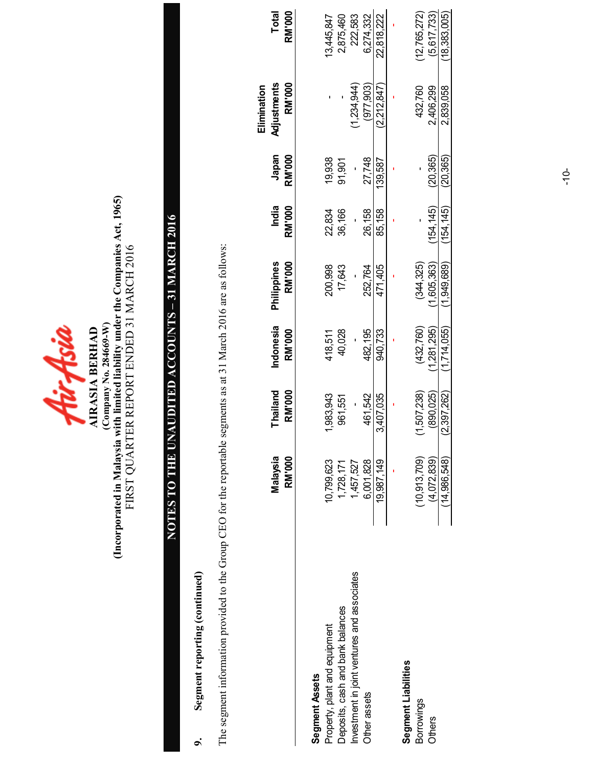| יכו ד או | <b>AIRASIA BERHAD</b> | Company No. 284669-W) | (Incorporated in Malaysia with limited liability under the Companies Act, 1965) | FIRST QUARTER REPORT ENDED 31 MARCH 2016 |
|----------|-----------------------|-----------------------|---------------------------------------------------------------------------------|------------------------------------------|
|----------|-----------------------|-----------------------|---------------------------------------------------------------------------------|------------------------------------------|

# NOTES TO THE UNAUDITED ACCOUNTS – 31 MARCH 2016 NOTES TO THE UNAUDITED ACCOUNTS - 31 MARCH 2016

### 9. Segment reporting (continued) Segment reporting (continued)  $\sigma$

The segment information provided to the Group CEO for the reportable segments as at 31 March 2016 are as follows: The segment information provided to the Group CEO for the reportable segments as at 31 March 2016 are as follows:

|                                             |                           |                    |                            |                              |                        |                        | Elimination                  |                               |
|---------------------------------------------|---------------------------|--------------------|----------------------------|------------------------------|------------------------|------------------------|------------------------------|-------------------------------|
|                                             | Malaysia<br><b>RM'000</b> | Thailand<br>RM'000 | Indonesia<br><b>RM'000</b> | Philippines<br><b>RM'000</b> | India<br><b>RM'000</b> | Japan<br><b>RM'000</b> | Adjustments<br><b>RM'000</b> | <b>Total</b><br><b>RM'000</b> |
| Segment Assets                              |                           |                    |                            |                              |                        |                        |                              |                               |
| Property, plant and equipment               | 10,799,623                | 1,983,943          | 418,511                    | 200,998                      | 22,834                 | 19,938                 |                              | 13,445,847                    |
| Deposits, cash and bank balances            | 1,728,171                 | 961,551            | 40,028                     | 17,643                       | 36,166                 | 91,901                 |                              | 2,875,460                     |
| Investment in joint ventures and associates | 1,457,527                 |                    |                            |                              |                        |                        | 1,234,944                    | 222,583                       |
| Other assets                                | 6,001,828                 | 461,542            | 482,195                    | 252,764                      | 26,158                 | 27,748                 | (977,903)                    | 6.274.332                     |
|                                             | 19,987,149                | 3,407,035          | 940,733                    | 471,405                      | 85,158                 | 139,587                | (2.212.847)                  | 22,818,222                    |
|                                             |                           |                    |                            |                              |                        |                        |                              |                               |
| Segment Liabilities                         |                           |                    |                            |                              |                        |                        |                              |                               |
| Borrowings                                  | (10, 913, 709)            | (1,507,238)        | (432, 760)                 | (344, 325)                   |                        |                        | 432,760                      | (12, 765, 272)                |
| <b>Others</b>                               | (4,072,839)               | (890.025)          | 1,281,295)                 | 1,605,363)                   | 154.145)               | (20,365)               | 2,406,299                    | (5,617,733)                   |
|                                             | (14.986.548)              | (2,397,262)        | (1,714,055)                | (1,949,689)                  | 154,145)               | (20, 365)              | 2,839,058                    | (18, 383, 005)                |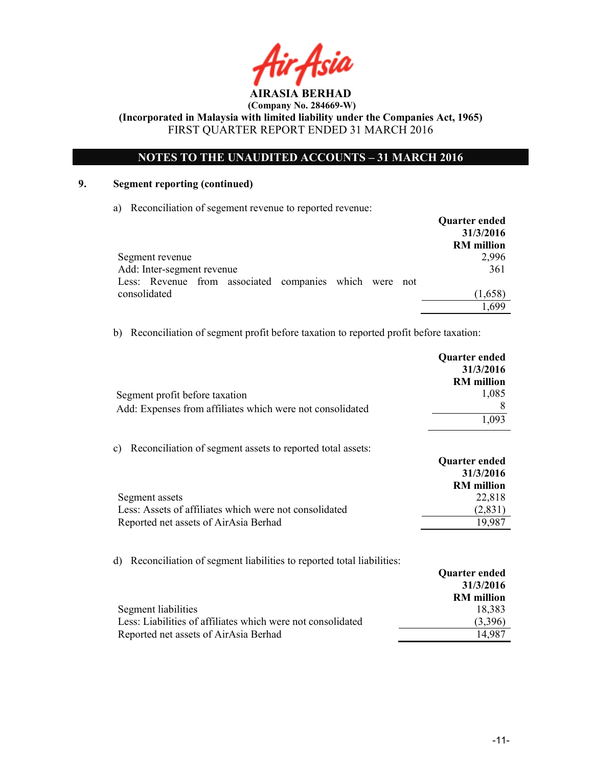### NOTES TO THE UNAUDITED ACCOUNTS – 31 MARCH 2016

### 9. Segment reporting (continued)

a) Reconciliation of segement revenue to reported revenue:

|                                                        | <b>Quarter ended</b> |
|--------------------------------------------------------|----------------------|
|                                                        | 31/3/2016            |
|                                                        | <b>RM</b> million    |
| Segment revenue                                        | 2,996                |
| Add: Inter-segment revenue                             | 361                  |
| Less: Revenue from associated companies which were not |                      |
| consolidated                                           | (1,658)              |
|                                                        | 1 699                |

b) Reconciliation of segment profit before taxation to reported profit before taxation:

|                                                                             | Quarter ended<br>31/3/2016 |
|-----------------------------------------------------------------------------|----------------------------|
|                                                                             | <b>RM</b> million<br>1,085 |
| Segment profit before taxation                                              | 8                          |
| Add: Expenses from affiliates which were not consolidated                   | 1,093                      |
| Reconciliation of segment assets to reported total assets:<br>c)            |                            |
|                                                                             | <b>Quarter ended</b>       |
|                                                                             | 31/3/2016                  |
|                                                                             | <b>RM</b> million          |
| Segment assets                                                              | 22,818                     |
| Less: Assets of affiliates which were not consolidated                      | (2, 831)                   |
| Reported net assets of AirAsia Berhad                                       | 19,987                     |
| Reconciliation of segment liabilities to reported total liabilities:<br>d). |                            |
|                                                                             | <b>Quarter ended</b>       |
|                                                                             | 31/3/2016                  |
|                                                                             | <b>RM</b> million          |
| Segment liabilities                                                         | 18,383                     |
| Less: Liabilities of affiliates which were not consolidated                 | (3,396)                    |
|                                                                             |                            |

Reported net assets of AirAsia Berhad 14,987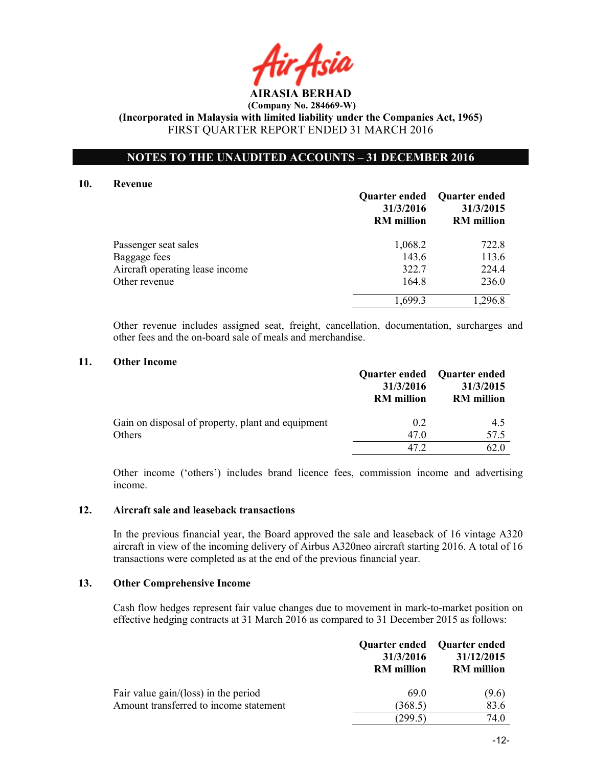AIRASIA BERHAD

### NOTES TO THE UNAUDITED ACCOUNTS – 31 DECEMBER 2016

### 10. Revenue

|                                 | 31/3/2016<br><b>RM</b> million | Quarter ended Quarter ended<br>31/3/2015<br><b>RM</b> million |
|---------------------------------|--------------------------------|---------------------------------------------------------------|
| Passenger seat sales            | 1,068.2                        | 722.8                                                         |
| Baggage fees                    | 143.6                          | 113.6                                                         |
| Aircraft operating lease income | 322.7                          | 224.4                                                         |
| Other revenue                   | 164.8                          | 236.0                                                         |
|                                 | 1,699.3                        | 1,296.8                                                       |

Other revenue includes assigned seat, freight, cancellation, documentation, surcharges and other fees and the on-board sale of meals and merchandise.

### 11. Other Income

|                                                   | 31/3/2016<br><b>RM</b> million | Quarter ended Quarter ended<br>31/3/2015<br><b>RM</b> million |
|---------------------------------------------------|--------------------------------|---------------------------------------------------------------|
| Gain on disposal of property, plant and equipment | 0.2                            | 4.5                                                           |
| Others                                            | 47.0                           | 57.5                                                          |
|                                                   | 47 2.                          | 62 O                                                          |

Other income ('others') includes brand licence fees, commission income and advertising income.

### 12. Aircraft sale and leaseback transactions

In the previous financial year, the Board approved the sale and leaseback of 16 vintage A320 aircraft in view of the incoming delivery of Airbus A320neo aircraft starting 2016. A total of 16 transactions were completed as at the end of the previous financial year.

### 13. Other Comprehensive Income

Cash flow hedges represent fair value changes due to movement in mark-to-market position on effective hedging contracts at 31 March 2016 as compared to 31 December 2015 as follows:

|                                        | 31/3/2016<br><b>RM</b> million | Quarter ended Quarter ended<br>31/12/2015<br><b>RM</b> million |
|----------------------------------------|--------------------------------|----------------------------------------------------------------|
| Fair value gain/(loss) in the period   | 690                            | (9.6)                                                          |
| Amount transferred to income statement | (368.5)                        | 83.6                                                           |
|                                        | (299.5)                        | 74.0                                                           |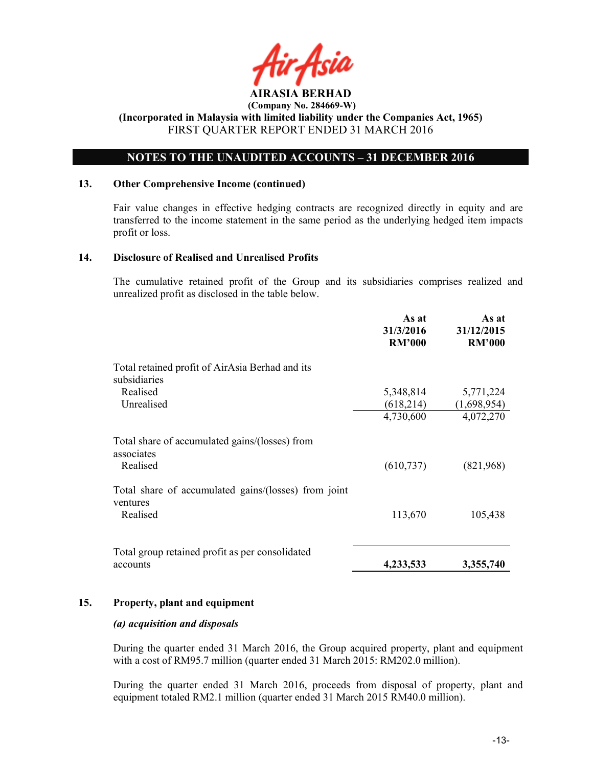

### NOTES TO THE UNAUDITED ACCOUNTS – 31 DECEMBER 2016

### 13. Other Comprehensive Income (continued)

Fair value changes in effective hedging contracts are recognized directly in equity and are transferred to the income statement in the same period as the underlying hedged item impacts profit or loss.

### 14. Disclosure of Realised and Unrealised Profits

The cumulative retained profit of the Group and its subsidiaries comprises realized and unrealized profit as disclosed in the table below.

|                                                                  | As at<br>31/3/2016<br><b>RM'000</b> | As at<br>31/12/2015<br><b>RM'000</b> |
|------------------------------------------------------------------|-------------------------------------|--------------------------------------|
| Total retained profit of AirAsia Berhad and its<br>subsidiaries  |                                     |                                      |
| Realised                                                         | 5,348,814                           | 5,771,224                            |
| Unrealised                                                       | (618,214)                           | (1,698,954)                          |
|                                                                  | 4,730,600                           | 4,072,270                            |
| Total share of accumulated gains/(losses) from<br>associates     |                                     |                                      |
| Realised                                                         | (610, 737)                          | (821,968)                            |
| Total share of accumulated gains/(losses) from joint<br>ventures |                                     |                                      |
| Realised                                                         | 113,670                             | 105,438                              |
|                                                                  |                                     |                                      |
| Total group retained profit as per consolidated<br>accounts      | 4,233,533                           | 3,355,740                            |

### 15. Property, plant and equipment

### (a) acquisition and disposals

During the quarter ended 31 March 2016, the Group acquired property, plant and equipment with a cost of RM95.7 million (quarter ended 31 March 2015: RM202.0 million).

During the quarter ended 31 March 2016, proceeds from disposal of property, plant and equipment totaled RM2.1 million (quarter ended 31 March 2015 RM40.0 million).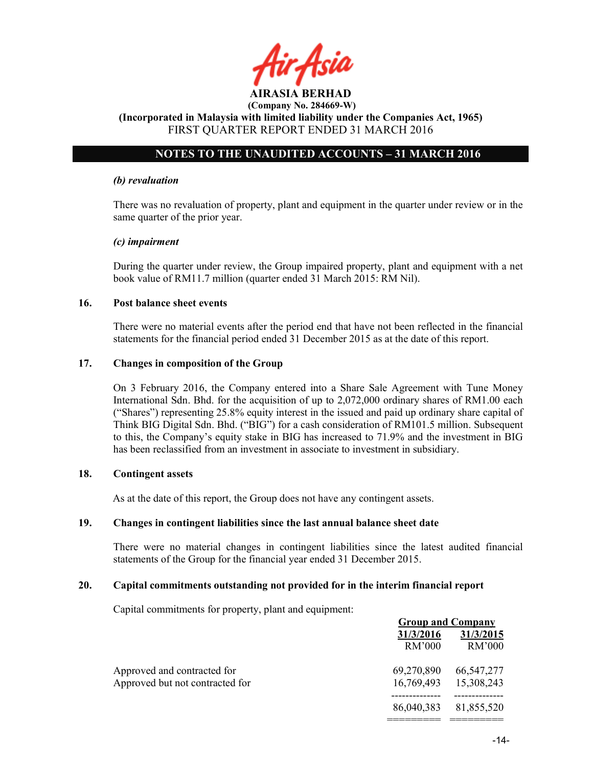

### NOTES TO THE UNAUDITED ACCOUNTS – 31 MARCH 2016

### (b) revaluation

There was no revaluation of property, plant and equipment in the quarter under review or in the same quarter of the prior year.

### (c) impairment

During the quarter under review, the Group impaired property, plant and equipment with a net book value of RM11.7 million (quarter ended 31 March 2015: RM Nil).

### 16. Post balance sheet events

There were no material events after the period end that have not been reflected in the financial statements for the financial period ended 31 December 2015 as at the date of this report.

### 17. Changes in composition of the Group

On 3 February 2016, the Company entered into a Share Sale Agreement with Tune Money International Sdn. Bhd. for the acquisition of up to 2,072,000 ordinary shares of RM1.00 each ("Shares") representing 25.8% equity interest in the issued and paid up ordinary share capital of Think BIG Digital Sdn. Bhd. ("BIG") for a cash consideration of RM101.5 million. Subsequent to this, the Company's equity stake in BIG has increased to 71.9% and the investment in BIG has been reclassified from an investment in associate to investment in subsidiary.

### 18. Contingent assets

As at the date of this report, the Group does not have any contingent assets.

### 19. Changes in contingent liabilities since the last annual balance sheet date

There were no material changes in contingent liabilities since the latest audited financial statements of the Group for the financial year ended 31 December 2015.

### 20. Capital commitments outstanding not provided for in the interim financial report

Capital commitments for property, plant and equipment:

|                                 |            | <b>Group and Company</b> |
|---------------------------------|------------|--------------------------|
|                                 | 31/3/2016  | 31/3/2015                |
|                                 | RM'000     | RM'000                   |
| Approved and contracted for     | 69,270,890 | 66,547,277               |
| Approved but not contracted for | 16,769,493 | 15,308,243               |
|                                 | 86,040,383 | 81,855,520               |
|                                 |            |                          |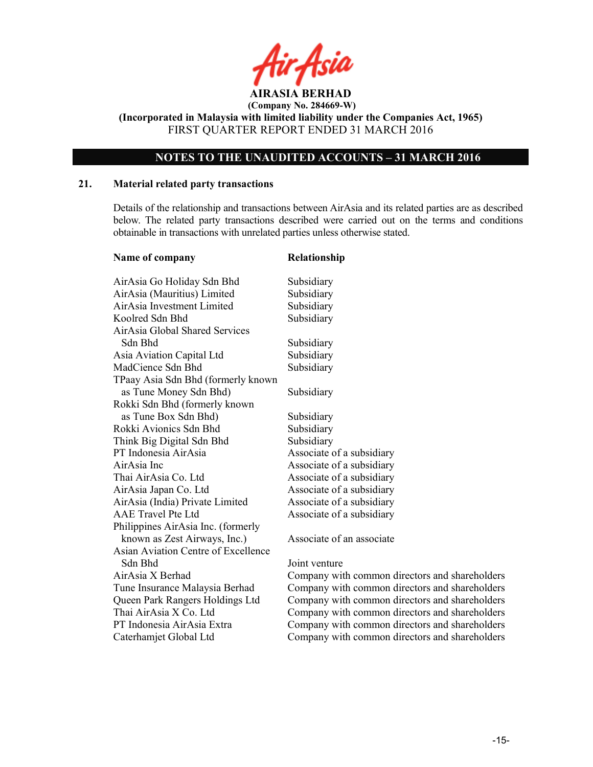

(Incorporated in Malaysia with limited liability under the Companies Act, 1965) FIRST QUARTER REPORT ENDED 31 MARCH 2016

### NOTES TO THE UNAUDITED ACCOUNTS – 31 MARCH 2016

### 21. Material related party transactions

Details of the relationship and transactions between AirAsia and its related parties are as described below. The related party transactions described were carried out on the terms and conditions obtainable in transactions with unrelated parties unless otherwise stated.

| Name of company                            | Relationship   |
|--------------------------------------------|----------------|
| AirAsia Go Holiday Sdn Bhd                 | Subsidiary     |
| AirAsia (Mauritius) Limited                | Subsidiary     |
| AirAsia Investment Limited                 | Subsidiary     |
| Koolred Sdn Bhd                            | Subsidiary     |
| <b>AirAsia Global Shared Services</b>      |                |
| Sdn Bhd                                    | Subsidiary     |
| Asia Aviation Capital Ltd                  | Subsidiary     |
| MadCience Sdn Bhd                          | Subsidiary     |
| TPaay Asia Sdn Bhd (formerly known         |                |
| as Tune Money Sdn Bhd)                     | Subsidiary     |
| Rokki Sdn Bhd (formerly known              |                |
| as Tune Box Sdn Bhd)                       | Subsidiary     |
| Rokki Avionics Sdn Bhd                     | Subsidiary     |
| Think Big Digital Sdn Bhd                  | Subsidiary     |
| PT Indonesia AirAsia                       | Associate of a |
| AirAsia Inc                                | Associate of a |
| Thai AirAsia Co. Ltd                       | Associate of a |
| AirAsia Japan Co. Ltd                      | Associate of a |
| AirAsia (India) Private Limited            | Associate of a |
| <b>AAE</b> Travel Pte Ltd                  | Associate of a |
| Philippines AirAsia Inc. (formerly         |                |
| known as Zest Airways, Inc.)               | Associate of a |
| <b>Asian Aviation Centre of Excellence</b> |                |
| Sdn Bhd                                    | Joint venture  |
| AirAsia X Berhad                           | Company wit    |
| Tune Insurance Malaysia Berhad             | Company wit    |
| Queen Park Rangers Holdings Ltd            | Company wit    |
| Thai AirAsia X Co. Ltd                     | Company wit    |
| PT Indonesia AirAsia Extra                 | Company wit    |
| Caterhamjet Global Ltd                     | Company wit    |
|                                            |                |

f a subsidiary f a subsidiary f a subsidiary f a subsidiary f a subsidiary f a subsidiary

f an associate

rith common directors and shareholders ith common directors and shareholders vith common directors and shareholders rith common directors and shareholders rith common directors and shareholders ith common directors and shareholders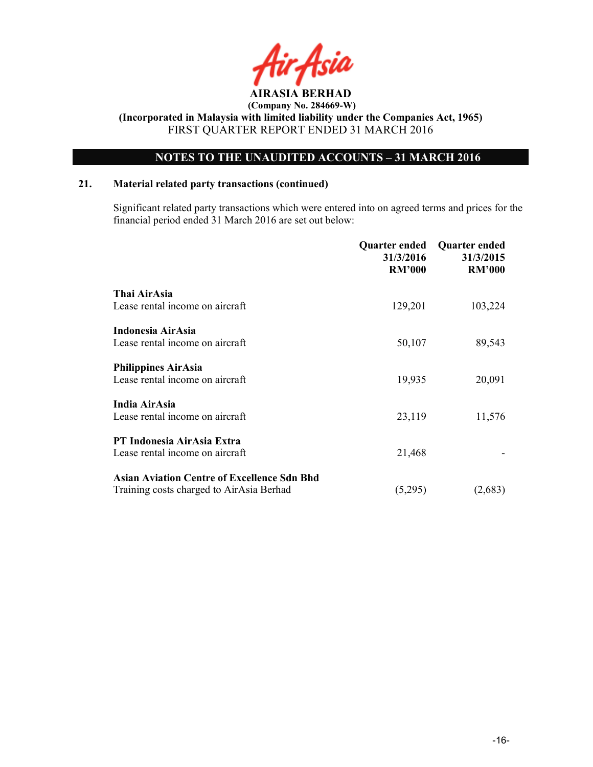

### NOTES TO THE UNAUDITED ACCOUNTS – 31 MARCH 2016

### 21. Material related party transactions (continued)

 Significant related party transactions which were entered into on agreed terms and prices for the financial period ended 31 March 2016 are set out below:

|                                                    | Quarter ended<br>31/3/2016<br><b>RM'000</b> | <b>Quarter ended</b><br>31/3/2015<br><b>RM'000</b> |
|----------------------------------------------------|---------------------------------------------|----------------------------------------------------|
| Thai AirAsia                                       |                                             |                                                    |
| Lease rental income on aircraft                    | 129,201                                     | 103,224                                            |
| Indonesia AirAsia                                  |                                             |                                                    |
| Lease rental income on aircraft                    | 50,107                                      | 89,543                                             |
| <b>Philippines AirAsia</b>                         |                                             |                                                    |
| Lease rental income on aircraft                    | 19,935                                      | 20,091                                             |
| India AirAsia                                      |                                             |                                                    |
| Lease rental income on aircraft                    | 23,119                                      | 11,576                                             |
| PT Indonesia AirAsia Extra                         |                                             |                                                    |
| Lease rental income on aircraft                    | 21,468                                      |                                                    |
|                                                    |                                             |                                                    |
| <b>Asian Aviation Centre of Excellence Sdn Bhd</b> |                                             |                                                    |
| Training costs charged to AirAsia Berhad           | (5,295)                                     | (2,683)                                            |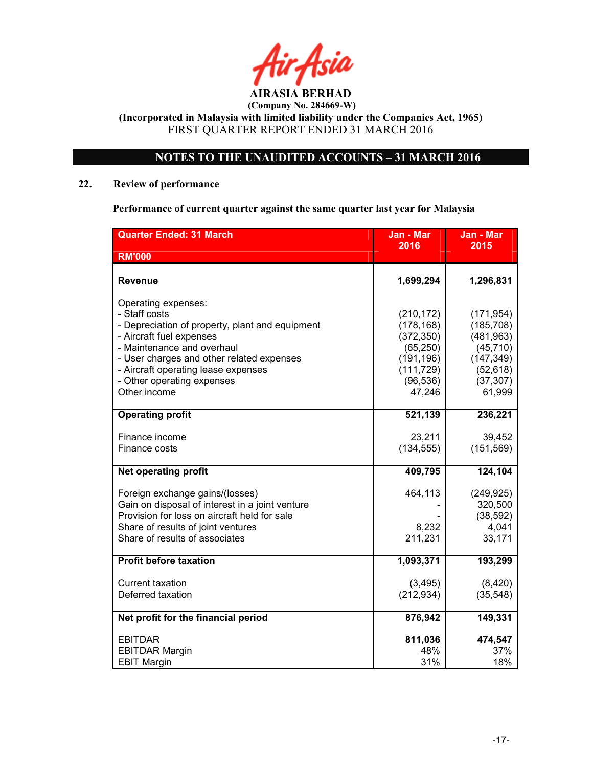

### NOTES TO THE UNAUDITED ACCOUNTS – 31 MARCH 2016

### 22. Review of performance

Performance of current quarter against the same quarter last year for Malaysia

| <b>Quarter Ended: 31 March</b>                                                                                                                                                                                                                                                      | Jan - Mar                                                                                              | Jan - Mar                                                                                             |
|-------------------------------------------------------------------------------------------------------------------------------------------------------------------------------------------------------------------------------------------------------------------------------------|--------------------------------------------------------------------------------------------------------|-------------------------------------------------------------------------------------------------------|
| <b>RM'000</b>                                                                                                                                                                                                                                                                       | 2016                                                                                                   | 2015                                                                                                  |
| Revenue                                                                                                                                                                                                                                                                             | 1,699,294                                                                                              | 1,296,831                                                                                             |
| Operating expenses:<br>- Staff costs<br>- Depreciation of property, plant and equipment<br>- Aircraft fuel expenses<br>- Maintenance and overhaul<br>- User charges and other related expenses<br>- Aircraft operating lease expenses<br>- Other operating expenses<br>Other income | (210, 172)<br>(178, 168)<br>(372, 350)<br>(65, 250)<br>(191, 196)<br>(111, 729)<br>(96, 536)<br>47,246 | (171, 954)<br>(185, 708)<br>(481, 963)<br>(45, 710)<br>(147, 349)<br>(52, 618)<br>(37, 307)<br>61,999 |
| <b>Operating profit</b>                                                                                                                                                                                                                                                             | 521,139                                                                                                | 236,221                                                                                               |
| Finance income<br>Finance costs                                                                                                                                                                                                                                                     | 23,211<br>(134, 555)                                                                                   | 39,452<br>(151, 569)                                                                                  |
| <b>Net operating profit</b>                                                                                                                                                                                                                                                         | 409,795                                                                                                | 124,104                                                                                               |
| Foreign exchange gains/(losses)<br>Gain on disposal of interest in a joint venture<br>Provision for loss on aircraft held for sale<br>Share of results of joint ventures<br>Share of results of associates                                                                          | 464,113<br>8,232<br>211,231                                                                            | (249, 925)<br>320,500<br>(38, 592)<br>4,041<br>33,171                                                 |
| <b>Profit before taxation</b>                                                                                                                                                                                                                                                       | 1,093,371                                                                                              | 193,299                                                                                               |
| <b>Current taxation</b><br>Deferred taxation                                                                                                                                                                                                                                        | (3, 495)<br>(212, 934)                                                                                 | (8,420)<br>(35, 548)                                                                                  |
| Net profit for the financial period                                                                                                                                                                                                                                                 | 876,942                                                                                                | 149,331                                                                                               |
| <b>EBITDAR</b><br><b>EBITDAR Margin</b><br><b>EBIT Margin</b>                                                                                                                                                                                                                       | 811,036<br>48%<br>31%                                                                                  | 474,547<br>37%<br>18%                                                                                 |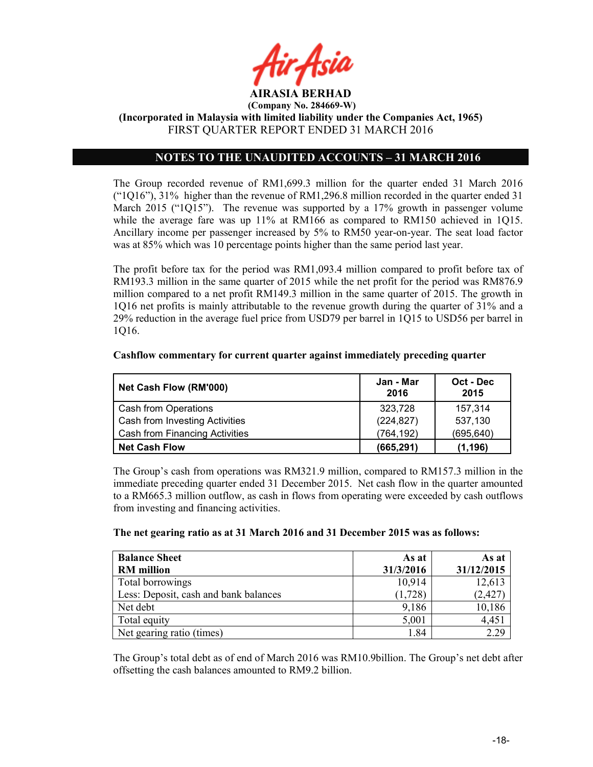

(Incorporated in Malaysia with limited liability under the Companies Act, 1965) FIRST QUARTER REPORT ENDED 31 MARCH 2016

### NOTES TO THE UNAUDITED ACCOUNTS – 31 MARCH 2016

The Group recorded revenue of RM1,699.3 million for the quarter ended 31 March 2016 ("1Q16"), 31% higher than the revenue of RM1,296.8 million recorded in the quarter ended 31 March 2015 ("1Q15"). The revenue was supported by a 17% growth in passenger volume while the average fare was up 11% at RM166 as compared to RM150 achieved in 1015. Ancillary income per passenger increased by 5% to RM50 year-on-year. The seat load factor was at 85% which was 10 percentage points higher than the same period last year.

The profit before tax for the period was RM1,093.4 million compared to profit before tax of RM193.3 million in the same quarter of 2015 while the net profit for the period was RM876.9 million compared to a net profit RM149.3 million in the same quarter of 2015. The growth in 1Q16 net profits is mainly attributable to the revenue growth during the quarter of 31% and a 29% reduction in the average fuel price from USD79 per barrel in 1Q15 to USD56 per barrel in 1Q16.

| Net Cash Flow (RM'000)         | Jan - Mar<br>2016 | Oct - Dec<br>2015 |
|--------------------------------|-------------------|-------------------|
| Cash from Operations           | 323,728           | 157,314           |
| Cash from Investing Activities | (224, 827)        | 537,130           |
| Cash from Financing Activities | (764, 192)        | (695, 640)        |
| <b>Net Cash Flow</b>           | (665, 291)        | (1, 196)          |

### Cashflow commentary for current quarter against immediately preceding quarter

The Group's cash from operations was RM321.9 million, compared to RM157.3 million in the immediate preceding quarter ended 31 December 2015. Net cash flow in the quarter amounted to a RM665.3 million outflow, as cash in flows from operating were exceeded by cash outflows from investing and financing activities.

| The net gearing ratio as at 31 March 2016 and 31 December 2015 was as follows: |
|--------------------------------------------------------------------------------|
|--------------------------------------------------------------------------------|

| <b>Balance Sheet</b>                  | As at     | As at      |
|---------------------------------------|-----------|------------|
| <b>RM</b> million                     | 31/3/2016 | 31/12/2015 |
| Total borrowings                      | 10,914    | 12,613     |
| Less: Deposit, cash and bank balances | (1,728)   | (2, 427)   |
| Net debt                              | 9,186     | 10,186     |
| Total equity                          | 5,001     | 4,451      |
| Net gearing ratio (times)             | 1.84      | 2.29       |

The Group's total debt as of end of March 2016 was RM10.9billion. The Group's net debt after offsetting the cash balances amounted to RM9.2 billion.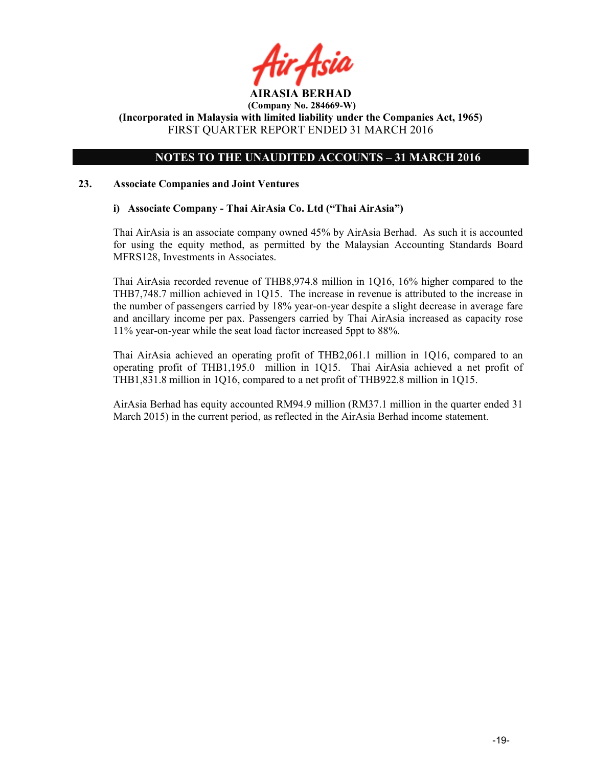

### NOTES TO THE UNAUDITED ACCOUNTS – 31 MARCH 2016

### 23. Associate Companies and Joint Ventures

### i) Associate Company - Thai AirAsia Co. Ltd ("Thai AirAsia")

Thai AirAsia is an associate company owned 45% by AirAsia Berhad. As such it is accounted for using the equity method, as permitted by the Malaysian Accounting Standards Board MFRS128, Investments in Associates.

Thai AirAsia recorded revenue of THB8,974.8 million in 1Q16, 16% higher compared to the THB7,748.7 million achieved in 1Q15. The increase in revenue is attributed to the increase in the number of passengers carried by 18% year-on-year despite a slight decrease in average fare and ancillary income per pax. Passengers carried by Thai AirAsia increased as capacity rose 11% year-on-year while the seat load factor increased 5ppt to 88%.

Thai AirAsia achieved an operating profit of THB2,061.1 million in 1Q16, compared to an operating profit of THB1,195.0 million in 1Q15. Thai AirAsia achieved a net profit of THB1,831.8 million in 1Q16, compared to a net profit of THB922.8 million in 1Q15.

AirAsia Berhad has equity accounted RM94.9 million (RM37.1 million in the quarter ended 31 March 2015) in the current period, as reflected in the AirAsia Berhad income statement.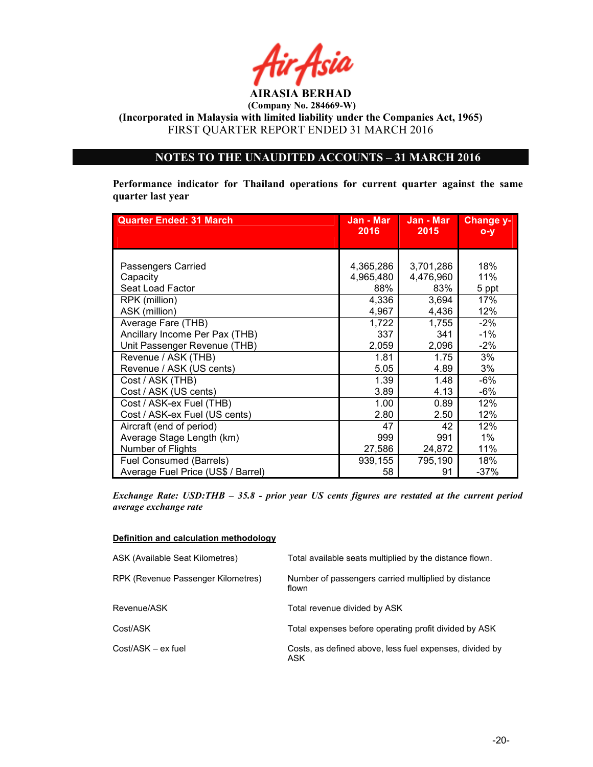

(Incorporated in Malaysia with limited liability under the Companies Act, 1965) FIRST QUARTER REPORT ENDED 31 MARCH 2016

### NOTES TO THE UNAUDITED ACCOUNTS – 31 MARCH 2016

Performance indicator for Thailand operations for current quarter against the same quarter last year

| <b>Quarter Ended: 31 March</b>                     | Jan - Mar<br>2016             | Jan - Mar<br>2015             | Change y-<br>$O - Y$ |
|----------------------------------------------------|-------------------------------|-------------------------------|----------------------|
|                                                    |                               |                               |                      |
| Passengers Carried<br>Capacity<br>Seat Load Factor | 4,365,286<br>4,965,480<br>88% | 3,701,286<br>4,476,960<br>83% | 18%<br>11%<br>5 ppt  |
| RPK (million)                                      | 4,336                         | 3,694                         | 17%                  |
| ASK (million)                                      | 4,967                         | 4,436                         | 12%                  |
| Average Fare (THB)                                 | 1,722                         | 1,755                         | $-2%$                |
| Ancillary Income Per Pax (THB)                     | 337                           | 341                           | $-1%$                |
| Unit Passenger Revenue (THB)                       | 2,059                         | 2,096                         | $-2%$                |
| Revenue / ASK (THB)                                | 1.81                          | 1.75                          | 3%                   |
| Revenue / ASK (US cents)                           | 5.05                          | 4.89                          | 3%                   |
| Cost / ASK (THB)                                   | 1.39                          | 1.48                          | $-6%$                |
| Cost / ASK (US cents)                              | 3.89                          | 4.13                          | -6%                  |
| Cost / ASK-ex Fuel (THB)                           | 1.00                          | 0.89                          | 12%                  |
| Cost / ASK-ex Fuel (US cents)                      | 2.80                          | 2.50                          | 12%                  |
| Aircraft (end of period)                           | 47                            | 42                            | 12%                  |
| Average Stage Length (km)                          | 999                           | 991                           | $1\%$                |
| Number of Flights                                  | 27,586                        | 24,872                        | 11%                  |
| Fuel Consumed (Barrels)                            | 939,155                       | 795,190                       | 18%                  |
| Average Fuel Price (US\$ / Barrel)                 | 58                            | 91                            | $-37%$               |

Exchange Rate: USD:THB – 35.8 - prior year US cents figures are restated at the current period average exchange rate

### Definition and calculation methodology

| ASK (Available Seat Kilometres)    | Total available seats multiplied by the distance flown.        |
|------------------------------------|----------------------------------------------------------------|
| RPK (Revenue Passenger Kilometres) | Number of passengers carried multiplied by distance<br>flown   |
| Revenue/ASK                        | Total revenue divided by ASK                                   |
| Cost/ASK                           | Total expenses before operating profit divided by ASK          |
| Cost/ASK - ex fuel                 | Costs, as defined above, less fuel expenses, divided by<br>ASK |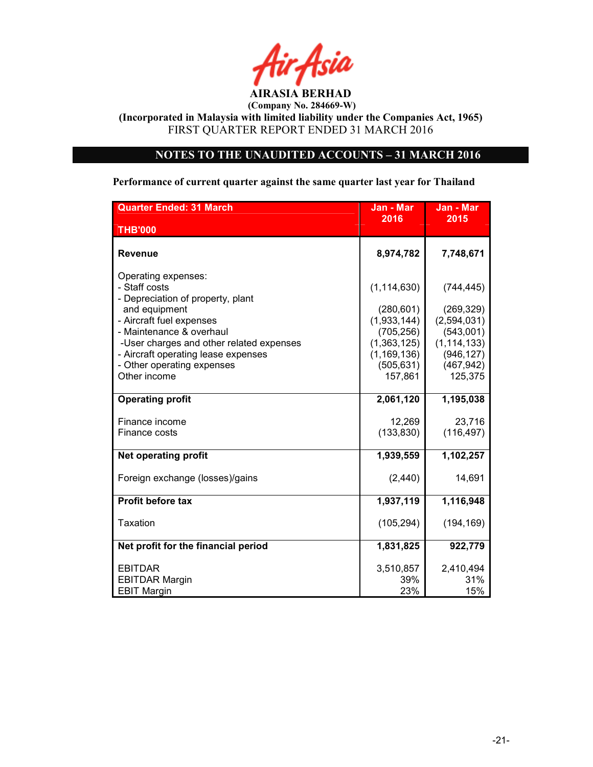

(Incorporated in Malaysia with limited liability under the Companies Act, 1965) FIRST QUARTER REPORT ENDED 31 MARCH 2016

### NOTES TO THE UNAUDITED ACCOUNTS – 31 MARCH 2016

### Performance of current quarter against the same quarter last year for Thailand

| <b>Quarter Ended: 31 March</b>                                                                                                                                                                                                                                                      | Jan - Mar                                                                                                         | Jan - Mar                                                                                                    |
|-------------------------------------------------------------------------------------------------------------------------------------------------------------------------------------------------------------------------------------------------------------------------------------|-------------------------------------------------------------------------------------------------------------------|--------------------------------------------------------------------------------------------------------------|
| <b>THB'000</b>                                                                                                                                                                                                                                                                      | 2016                                                                                                              | 2015                                                                                                         |
| Revenue                                                                                                                                                                                                                                                                             | 8,974,782                                                                                                         | 7,748,671                                                                                                    |
| Operating expenses:<br>- Staff costs<br>- Depreciation of property, plant<br>and equipment<br>- Aircraft fuel expenses<br>- Maintenance & overhaul<br>-User charges and other related expenses<br>- Aircraft operating lease expenses<br>- Other operating expenses<br>Other income | (1, 114, 630)<br>(280, 601)<br>(1,933,144)<br>(705, 256)<br>(1,363,125)<br>(1, 169, 136)<br>(505, 631)<br>157,861 | (744, 445)<br>(269, 329)<br>(2,594,031)<br>(543,001)<br>(1, 114, 133)<br>(946, 127)<br>(467, 942)<br>125,375 |
| <b>Operating profit</b>                                                                                                                                                                                                                                                             | 2,061,120                                                                                                         | 1,195,038                                                                                                    |
| Finance income<br>Finance costs                                                                                                                                                                                                                                                     | 12,269<br>(133, 830)                                                                                              | 23,716<br>(116, 497)                                                                                         |
| <b>Net operating profit</b>                                                                                                                                                                                                                                                         | 1,939,559                                                                                                         | 1,102,257                                                                                                    |
| Foreign exchange (losses)/gains                                                                                                                                                                                                                                                     | (2, 440)                                                                                                          | 14,691                                                                                                       |
| <b>Profit before tax</b>                                                                                                                                                                                                                                                            | 1,937,119                                                                                                         | 1,116,948                                                                                                    |
| <b>Taxation</b>                                                                                                                                                                                                                                                                     | (105, 294)                                                                                                        | (194, 169)                                                                                                   |
| Net profit for the financial period                                                                                                                                                                                                                                                 | 1,831,825                                                                                                         | 922,779                                                                                                      |
| <b>EBITDAR</b><br><b>EBITDAR Margin</b><br><b>EBIT Margin</b>                                                                                                                                                                                                                       | 3,510,857<br>39%<br>23%                                                                                           | 2,410,494<br>31%<br>15%                                                                                      |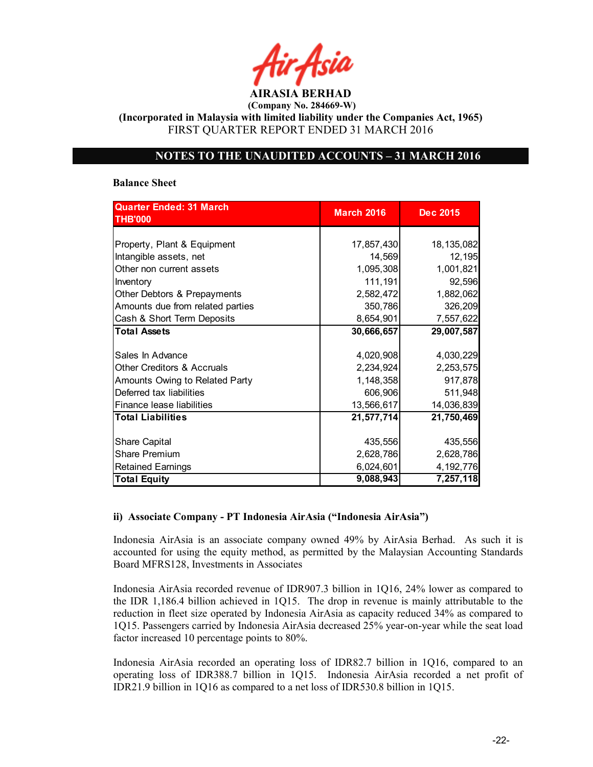AIRASIA BERHAD (Company No. 284669-W)

(Incorporated in Malaysia with limited liability under the Companies Act, 1965) FIRST QUARTER REPORT ENDED 31 MARCH 2016

### NOTES TO THE UNAUDITED ACCOUNTS – 31 MARCH 2016

### Balance Sheet

| <b>Quarter Ended: 31 March</b><br><b>THB'000</b> | <b>March 2016</b> | <b>Dec 2015</b> |
|--------------------------------------------------|-------------------|-----------------|
|                                                  |                   |                 |
|                                                  |                   |                 |
| Property, Plant & Equipment                      | 17,857,430        | 18,135,082      |
| Intangible assets, net                           | 14,569            | 12,195          |
| Other non current assets                         | 1,095,308         | 1,001,821       |
| Inventory                                        | 111,191           | 92,596          |
| Other Debtors & Prepayments                      | 2,582,472         | 1,882,062       |
| Amounts due from related parties                 | 350,786           | 326,209         |
| Cash & Short Term Deposits                       | 8,654,901         | 7,557,622       |
| <b>Total Assets</b>                              | 30,666,657        | 29,007,587      |
|                                                  |                   |                 |
| Sales In Advance                                 | 4,020,908         | 4,030,229       |
| <b>Other Creditors &amp; Accruals</b>            | 2,234,924         | 2,253,575       |
| Amounts Owing to Related Party                   | 1,148,358         | 917,878         |
| Deferred tax liabilities                         | 606,906           | 511,948         |
| Finance lease liabilities                        | 13,566,617        | 14,036,839      |
| <b>Total Liabilities</b>                         | 21,577,714        | 21,750,469      |
|                                                  |                   |                 |
| <b>Share Capital</b>                             | 435,556           | 435,556         |
| <b>Share Premium</b>                             | 2,628,786         | 2,628,786       |
| <b>Retained Earnings</b>                         | 6,024,601         | 4,192,776       |
| <b>Total Equity</b>                              | 9,088,943         | 7,257,118       |

### ii) Associate Company - PT Indonesia AirAsia ("Indonesia AirAsia")

Indonesia AirAsia is an associate company owned 49% by AirAsia Berhad. As such it is accounted for using the equity method, as permitted by the Malaysian Accounting Standards Board MFRS128, Investments in Associates

Indonesia AirAsia recorded revenue of IDR907.3 billion in 1Q16, 24% lower as compared to the IDR 1,186.4 billion achieved in 1Q15. The drop in revenue is mainly attributable to the reduction in fleet size operated by Indonesia AirAsia as capacity reduced 34% as compared to 1Q15. Passengers carried by Indonesia AirAsia decreased 25% year-on-year while the seat load factor increased 10 percentage points to 80%.

Indonesia AirAsia recorded an operating loss of IDR82.7 billion in 1Q16, compared to an operating loss of IDR388.7 billion in 1Q15. Indonesia AirAsia recorded a net profit of IDR21.9 billion in 1Q16 as compared to a net loss of IDR530.8 billion in 1Q15.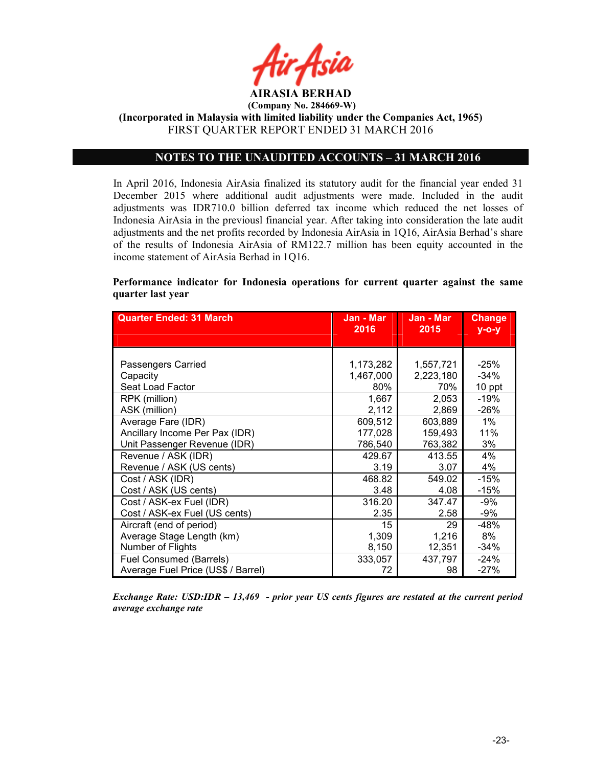

### NOTES TO THE UNAUDITED ACCOUNTS – 31 MARCH 2016

In April 2016, Indonesia AirAsia finalized its statutory audit for the financial year ended 31 December 2015 where additional audit adjustments were made. Included in the audit adjustments was IDR710.0 billion deferred tax income which reduced the net losses of Indonesia AirAsia in the previousl financial year. After taking into consideration the late audit adjustments and the net profits recorded by Indonesia AirAsia in 1Q16, AirAsia Berhad's share of the results of Indonesia AirAsia of RM122.7 million has been equity accounted in the income statement of AirAsia Berhad in 1Q16.

### Performance indicator for Indonesia operations for current quarter against the same quarter last year

| <b>Quarter Ended: 31 March</b>     | Jan - Mar<br>2016 | Jan - Mar<br>2015 | <b>Change</b><br><u>у-о-у</u> |
|------------------------------------|-------------------|-------------------|-------------------------------|
|                                    |                   |                   |                               |
|                                    |                   |                   |                               |
| Passengers Carried                 | 1,173,282         | 1,557,721         | $-25%$                        |
| Capacity                           | 1,467,000         | 2,223,180         | $-34%$                        |
| Seat Load Factor                   | 80%               | 70%               | 10 ppt                        |
| RPK (million)                      | 1,667             | 2,053             | $-19%$                        |
| ASK (million)                      | 2,112             | 2,869             | $-26%$                        |
| Average Fare (IDR)                 | 609,512           | 603,889           | 1%                            |
| Ancillary Income Per Pax (IDR)     | 177,028           | 159,493           | 11%                           |
| Unit Passenger Revenue (IDR)       | 786,540           | 763,382           | 3%                            |
| Revenue / ASK (IDR)                | 429.67            | 413.55            | 4%                            |
| Revenue / ASK (US cents)           | 3.19              | 3.07              | 4%                            |
| Cost / ASK (IDR)                   | 468.82            | 549.02            | $-15%$                        |
| Cost / ASK (US cents)              | 3.48              | 4.08              | $-15%$                        |
| Cost / ASK-ex Fuel (IDR)           | 316.20            | 347.47            | -9%                           |
| Cost / ASK-ex Fuel (US cents)      | 2.35              | 2.58              | -9%                           |
| Aircraft (end of period)           | 15                | 29                | $-48%$                        |
| Average Stage Length (km)          | 1,309             | 1,216             | 8%                            |
| Number of Flights                  | 8,150             | 12,351            | $-34%$                        |
| <b>Fuel Consumed (Barrels)</b>     | 333,057           | 437,797           | $-24%$                        |
| Average Fuel Price (US\$ / Barrel) | 72                | 98                | $-27%$                        |

Exchange Rate: USD:IDR – 13,469 - prior year US cents figures are restated at the current period average exchange rate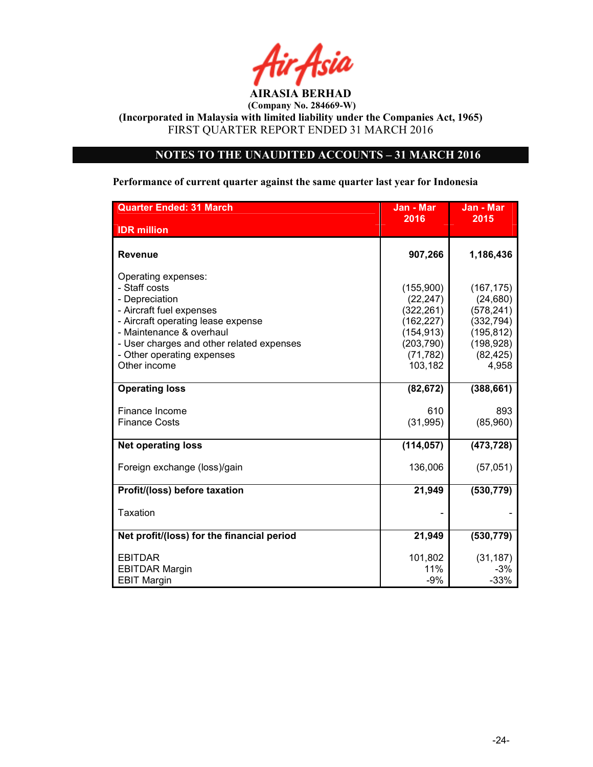

(Incorporated in Malaysia with limited liability under the Companies Act, 1965) FIRST QUARTER REPORT ENDED 31 MARCH 2016

### NOTES TO THE UNAUDITED ACCOUNTS – 31 MARCH 2016

### Performance of current quarter against the same quarter last year for Indonesia

| <b>Quarter Ended: 31 March</b>                                                                                                                                                                                                                  | Jan - Mar                                                                                              | Jan - Mar                                                                                             |
|-------------------------------------------------------------------------------------------------------------------------------------------------------------------------------------------------------------------------------------------------|--------------------------------------------------------------------------------------------------------|-------------------------------------------------------------------------------------------------------|
| <b>IDR</b> million                                                                                                                                                                                                                              | 2016                                                                                                   | 2015                                                                                                  |
| <b>Revenue</b>                                                                                                                                                                                                                                  | 907,266                                                                                                | 1,186,436                                                                                             |
| Operating expenses:<br>- Staff costs<br>- Depreciation<br>- Aircraft fuel expenses<br>- Aircraft operating lease expense<br>- Maintenance & overhaul<br>- User charges and other related expenses<br>- Other operating expenses<br>Other income | (155,900)<br>(22, 247)<br>(322, 261)<br>(162, 227)<br>(154, 913)<br>(203, 790)<br>(71, 782)<br>103,182 | (167, 175)<br>(24, 680)<br>(578, 241)<br>(332, 794)<br>(195, 812)<br>(198, 928)<br>(82, 425)<br>4,958 |
| <b>Operating loss</b>                                                                                                                                                                                                                           | (82, 672)                                                                                              | (388, 661)                                                                                            |
| Finance Income<br><b>Finance Costs</b>                                                                                                                                                                                                          | 610<br>(31, 995)                                                                                       | 893<br>(85,960)                                                                                       |
| <b>Net operating loss</b>                                                                                                                                                                                                                       | (114, 057)                                                                                             | (473, 728)                                                                                            |
| Foreign exchange (loss)/gain                                                                                                                                                                                                                    | 136,006                                                                                                | (57,051)                                                                                              |
| Profit/(loss) before taxation                                                                                                                                                                                                                   | 21,949                                                                                                 | (530, 779)                                                                                            |
| Taxation                                                                                                                                                                                                                                        |                                                                                                        |                                                                                                       |
| Net profit/(loss) for the financial period                                                                                                                                                                                                      | 21,949                                                                                                 | (530, 779)                                                                                            |
| <b>EBITDAR</b><br><b>EBITDAR Margin</b><br><b>EBIT Margin</b>                                                                                                                                                                                   | 101,802<br>11%<br>$-9%$                                                                                | (31, 187)<br>-3%<br>$-33%$                                                                            |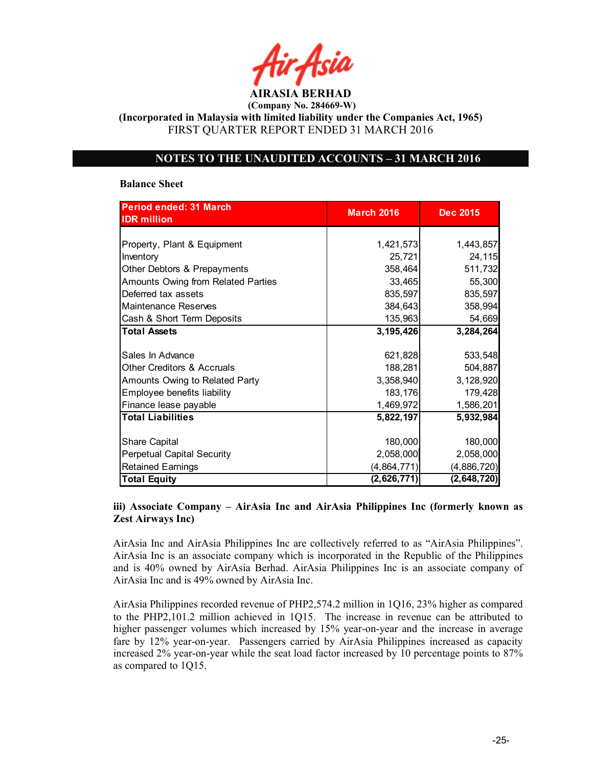AIRASIA BERHAD

(Incorporated in Malaysia with limited liability under the Companies Act, 1965) FIRST QUARTER REPORT ENDED 31 MARCH 2016

### NOTES TO THE UNAUDITED ACCOUNTS – 31 MARCH 2016

### Balance Sheet

| <b>Period ended: 31 March</b>         | <b>March 2016</b> | <b>Dec 2015</b> |
|---------------------------------------|-------------------|-----------------|
| <b>IDR</b> million                    |                   |                 |
|                                       |                   |                 |
| Property, Plant & Equipment           | 1,421,573         | 1,443,857       |
| Inventory                             | 25,721            | 24,115          |
| Other Debtors & Prepayments           | 358,464           | 511,732         |
| Amounts Owing from Related Parties    | 33,465            | 55,300          |
| Deferred tax assets                   | 835,597           | 835,597         |
| Maintenance Reserves                  | 384,643           | 358,994         |
| Cash & Short Term Deposits            | 135,963           | 54,669          |
| <b>Total Assets</b>                   | 3,195,426         | 3,284,264       |
|                                       |                   |                 |
| Sales In Advance                      | 621,828           | 533,548         |
| <b>Other Creditors &amp; Accruals</b> | 188,281           | 504,887         |
| Amounts Owing to Related Party        | 3,358,940         | 3,128,920       |
| Employee benefits liability           | 183,176           | 179,428         |
| Finance lease payable                 | 1,469,972         | 1,586,201       |
| <b>Total Liabilities</b>              | 5,822,197         | 5,932,984       |
|                                       |                   |                 |
| <b>Share Capital</b>                  | 180,000           | 180,000         |
| <b>Perpetual Capital Security</b>     | 2,058,000         | 2,058,000       |
| <b>Retained Earnings</b>              | (4,864,771)       | (4,886,720)     |
| <b>Total Equity</b>                   | (2,626,771)       | (2,648,720)     |

### iii) Associate Company – AirAsia Inc and AirAsia Philippines Inc (formerly known as Zest Airways Inc)

AirAsia Inc and AirAsia Philippines Inc are collectively referred to as "AirAsia Philippines". AirAsia Inc is an associate company which is incorporated in the Republic of the Philippines and is 40% owned by AirAsia Berhad. AirAsia Philippines Inc is an associate company of AirAsia Inc and is 49% owned by AirAsia Inc.

AirAsia Philippines recorded revenue of PHP2,574.2 million in 1Q16, 23% higher as compared to the PHP2,101.2 million achieved in 1Q15. The increase in revenue can be attributed to higher passenger volumes which increased by 15% year-on-year and the increase in average fare by 12% year-on-year. Passengers carried by AirAsia Philippines increased as capacity increased 2% year-on-year while the seat load factor increased by 10 percentage points to 87% as compared to 1Q15.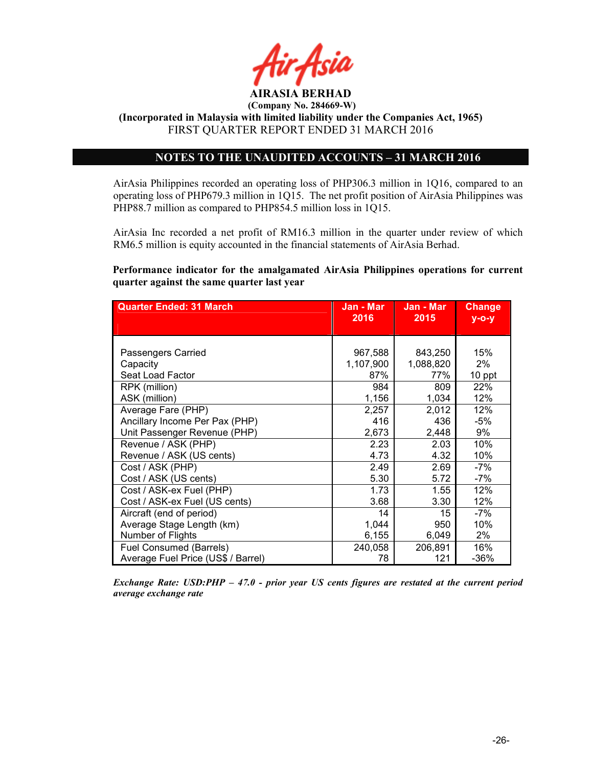

AIRASIA BERHAD (Company No. 284669-W)

(Incorporated in Malaysia with limited liability under the Companies Act, 1965) FIRST QUARTER REPORT ENDED 31 MARCH 2016

### NOTES TO THE UNAUDITED ACCOUNTS – 31 MARCH 2016

AirAsia Philippines recorded an operating loss of PHP306.3 million in 1Q16, compared to an operating loss of PHP679.3 million in 1Q15. The net profit position of AirAsia Philippines was PHP88.7 million as compared to PHP854.5 million loss in 1Q15.

AirAsia Inc recorded a net profit of RM16.3 million in the quarter under review of which RM6.5 million is equity accounted in the financial statements of AirAsia Berhad.

Performance indicator for the amalgamated AirAsia Philippines operations for current quarter against the same quarter last year

| <b>Quarter Ended: 31 March</b>     | Jan - Mar<br>2016 | Jan - Mar<br>2015 | <b>Change</b><br>$y$ -o-y |
|------------------------------------|-------------------|-------------------|---------------------------|
|                                    |                   |                   |                           |
|                                    |                   |                   |                           |
| Passengers Carried                 | 967,588           | 843,250           | 15%                       |
| Capacity                           | 1,107,900         | 1,088,820         | $2\%$                     |
| Seat Load Factor                   | 87%               | 77%               | 10 ppt                    |
| RPK (million)                      | 984               | 809               | 22%                       |
| ASK (million)                      | 1,156             | 1,034             | 12%                       |
| Average Fare (PHP)                 | 2,257             | 2,012             | 12%                       |
| Ancillary Income Per Pax (PHP)     | 416               | 436               | -5%                       |
| Unit Passenger Revenue (PHP)       | 2,673             | 2,448             | 9%                        |
| Revenue / ASK (PHP)                | 2.23              | 2.03              | 10%                       |
| Revenue / ASK (US cents)           | 4.73              | 4.32              | 10%                       |
| Cost / ASK (PHP)                   | 2.49              | 2.69              | -7%                       |
| Cost / ASK (US cents)              | 5.30              | 5.72              | $-7%$                     |
| Cost / ASK-ex Fuel (PHP)           | 1.73              | 1.55              | 12%                       |
| Cost / ASK-ex Fuel (US cents)      | 3.68              | 3.30              | 12%                       |
| Aircraft (end of period)           | 14                | 15                | -7%                       |
| Average Stage Length (km)          | 1,044             | 950               | 10%                       |
| Number of Flights                  | 6,155             | 6,049             | 2%                        |
| Fuel Consumed (Barrels)            | 240,058           | 206,891           | 16%                       |
| Average Fuel Price (US\$ / Barrel) | 78                | 121               | $-36%$                    |

Exchange Rate: USD:PHP – 47.0 - prior year US cents figures are restated at the current period average exchange rate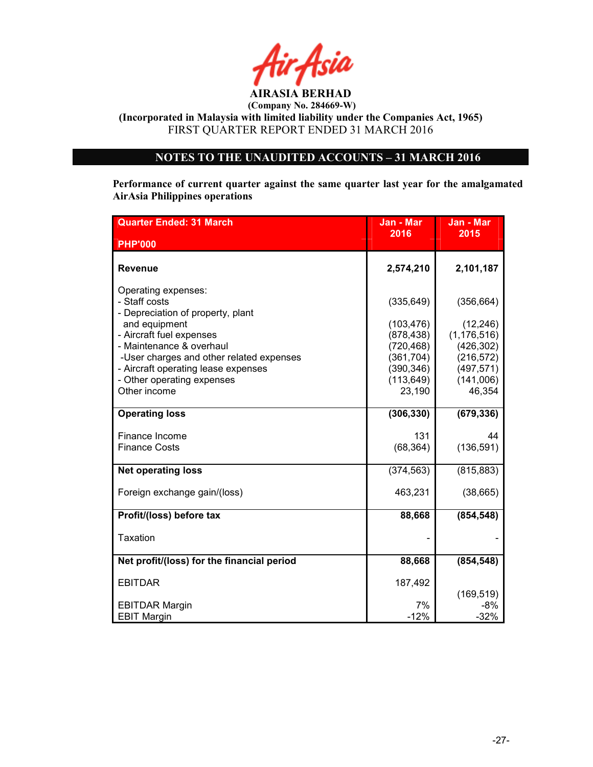

(Incorporated in Malaysia with limited liability under the Companies Act, 1965) FIRST QUARTER REPORT ENDED 31 MARCH 2016

### NOTES TO THE UNAUDITED ACCOUNTS – 31 MARCH 2016

Performance of current quarter against the same quarter last year for the amalgamated AirAsia Philippines operations

| <b>Quarter Ended: 31 March</b>                                                                                                                                                                                                                                      | Jan - Mar                                                                                      | Jan - Mar                                                                                       |
|---------------------------------------------------------------------------------------------------------------------------------------------------------------------------------------------------------------------------------------------------------------------|------------------------------------------------------------------------------------------------|-------------------------------------------------------------------------------------------------|
| <b>PHP'000</b>                                                                                                                                                                                                                                                      | 2016                                                                                           | 2015                                                                                            |
| <b>Revenue</b>                                                                                                                                                                                                                                                      | 2,574,210                                                                                      | 2,101,187                                                                                       |
| Operating expenses:<br>- Staff costs<br>- Depreciation of property, plant<br>and equipment<br>- Aircraft fuel expenses<br>- Maintenance & overhaul<br>-User charges and other related expenses<br>- Aircraft operating lease expenses<br>- Other operating expenses | (335, 649)<br>(103, 476)<br>(878, 438)<br>(720, 468)<br>(361, 704)<br>(390, 346)<br>(113, 649) | (356, 664)<br>(12, 246)<br>(1, 176, 516)<br>(426, 302)<br>(216, 572)<br>(497, 571)<br>(141,006) |
| Other income                                                                                                                                                                                                                                                        | 23,190                                                                                         | 46,354                                                                                          |
| <b>Operating loss</b>                                                                                                                                                                                                                                               | (306, 330)                                                                                     | (679, 336)                                                                                      |
| Finance Income<br><b>Finance Costs</b>                                                                                                                                                                                                                              | 131<br>(68, 364)                                                                               | 44<br>(136, 591)                                                                                |
| <b>Net operating loss</b>                                                                                                                                                                                                                                           | (374, 563)                                                                                     | (815, 883)                                                                                      |
| Foreign exchange gain/(loss)                                                                                                                                                                                                                                        | 463,231                                                                                        | (38, 665)                                                                                       |
| Profit/(loss) before tax                                                                                                                                                                                                                                            | 88,668                                                                                         | (854, 548)                                                                                      |
| <b>Taxation</b>                                                                                                                                                                                                                                                     |                                                                                                |                                                                                                 |
| Net profit/(loss) for the financial period                                                                                                                                                                                                                          | 88,668                                                                                         | (854, 548)                                                                                      |
| <b>EBITDAR</b>                                                                                                                                                                                                                                                      | 187,492                                                                                        | (169, 519)                                                                                      |
| <b>EBITDAR Margin</b><br><b>EBIT Margin</b>                                                                                                                                                                                                                         | 7%<br>$-12%$                                                                                   | $-8%$<br>$-32%$                                                                                 |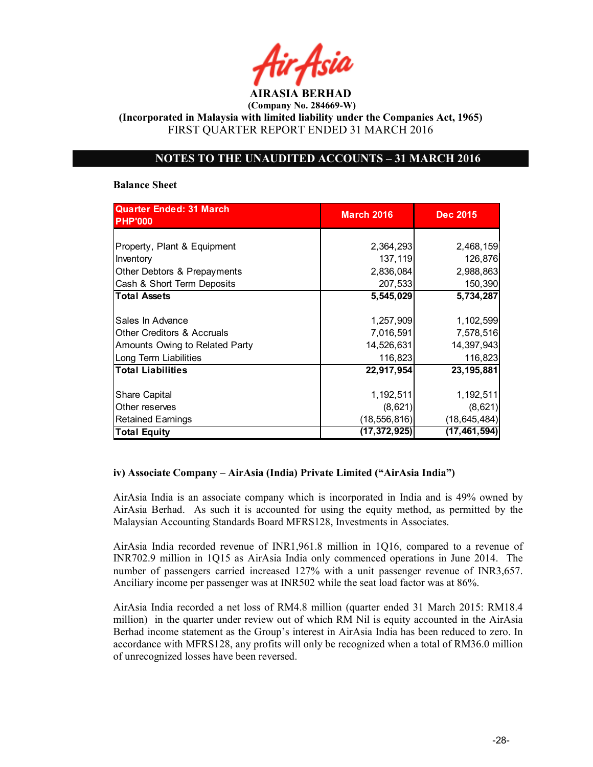AIRASIA BERHAD

(Incorporated in Malaysia with limited liability under the Companies Act, 1965) FIRST QUARTER REPORT ENDED 31 MARCH 2016

### NOTES TO THE UNAUDITED ACCOUNTS – 31 MARCH 2016

### Balance Sheet

| <b>Quarter Ended: 31 March</b><br><b>PHP'000</b> | <b>March 2016</b> | <b>Dec 2015</b> |
|--------------------------------------------------|-------------------|-----------------|
|                                                  |                   |                 |
| Property, Plant & Equipment                      | 2,364,293         | 2,468,159       |
| Inventory                                        | 137,119           | 126,876         |
| Other Debtors & Prepayments                      | 2,836,084         | 2,988,863       |
| Cash & Short Term Deposits                       | 207,533           | 150,390         |
| <b>Total Assets</b>                              | 5,545,029         | 5,734,287       |
|                                                  |                   |                 |
| Sales In Advance                                 | 1,257,909         | 1,102,599       |
| <b>Other Creditors &amp; Accruals</b>            | 7,016,591         | 7,578,516       |
| Amounts Owing to Related Party                   | 14,526,631        | 14,397,943      |
| Long Term Liabilities                            | 116,823           | 116,823         |
| <b>Total Liabilities</b>                         | 22,917,954        | 23, 195, 881    |
|                                                  |                   |                 |
| <b>Share Capital</b>                             | 1,192,511         | 1,192,511       |
| Other reserves                                   | (8,621)           | (8,621)         |
| <b>Retained Earnings</b>                         | (18, 556, 816)    | (18, 645, 484)  |
| <b>Total Equity</b>                              | (17,372,925)      | (17, 461, 594)  |

### iv) Associate Company – AirAsia (India) Private Limited ("AirAsia India")

AirAsia India is an associate company which is incorporated in India and is 49% owned by AirAsia Berhad. As such it is accounted for using the equity method, as permitted by the Malaysian Accounting Standards Board MFRS128, Investments in Associates.

AirAsia India recorded revenue of INR1,961.8 million in 1Q16, compared to a revenue of INR702.9 million in 1Q15 as AirAsia India only commenced operations in June 2014. The number of passengers carried increased 127% with a unit passenger revenue of INR3,657. Anciliary income per passenger was at INR502 while the seat load factor was at 86%.

AirAsia India recorded a net loss of RM4.8 million (quarter ended 31 March 2015: RM18.4 million) in the quarter under review out of which RM Nil is equity accounted in the AirAsia Berhad income statement as the Group's interest in AirAsia India has been reduced to zero. In accordance with MFRS128, any profits will only be recognized when a total of RM36.0 million of unrecognized losses have been reversed.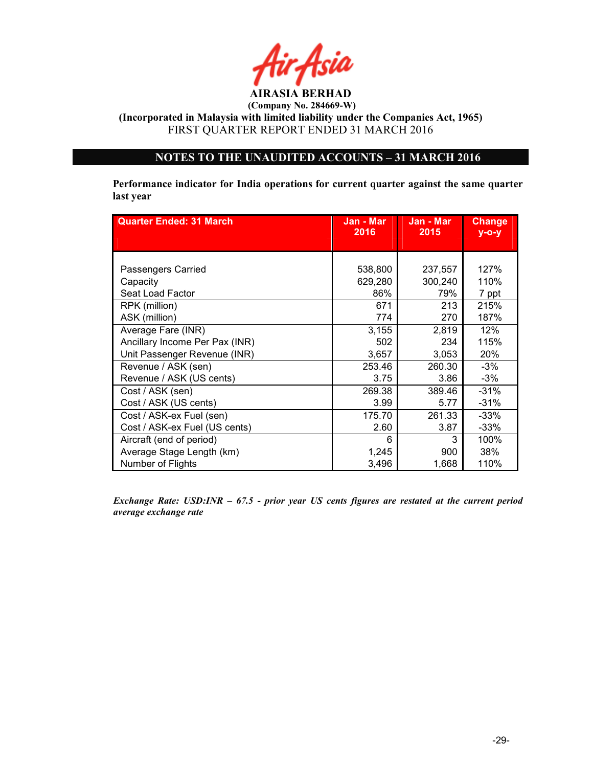

(Incorporated in Malaysia with limited liability under the Companies Act, 1965) FIRST QUARTER REPORT ENDED 31 MARCH 2016

### NOTES TO THE UNAUDITED ACCOUNTS – 31 MARCH 2016

Performance indicator for India operations for current quarter against the same quarter last year

| <b>Quarter Ended: 31 March</b> | Jan - Mar<br>Jan - Mar<br>2016<br>2015 |         | <b>Change</b><br>$y$ -o-y |
|--------------------------------|----------------------------------------|---------|---------------------------|
|                                |                                        |         |                           |
|                                |                                        |         |                           |
| Passengers Carried             | 538,800                                | 237,557 | 127%                      |
| Capacity                       | 629,280                                | 300,240 | 110%                      |
| Seat Load Factor               | 86%                                    | 79%     | 7 ppt                     |
| RPK (million)                  | 671                                    | 213     | 215%                      |
| ASK (million)                  | 774                                    | 270     | 187%                      |
| Average Fare (INR)             | 3,155                                  | 2,819   | 12%                       |
| Ancillary Income Per Pax (INR) | 502                                    | 234     | 115%                      |
| Unit Passenger Revenue (INR)   | 3,657                                  | 3,053   | 20%                       |
| Revenue / ASK (sen)            | 253.46                                 | 260.30  | $-3%$                     |
| Revenue / ASK (US cents)       | 3.75                                   | 3.86    | $-3%$                     |
| Cost / ASK (sen)               | 269.38                                 | 389.46  | $-31%$                    |
| Cost / ASK (US cents)          | 3.99                                   | 5.77    | $-31%$                    |
| Cost / ASK-ex Fuel (sen)       | 175.70                                 | 261.33  | $-33%$                    |
| Cost / ASK-ex Fuel (US cents)  | 2.60                                   | 3.87    | -33%                      |
| Aircraft (end of period)       | 6                                      | 3       | 100%                      |
| Average Stage Length (km)      | 1,245                                  | 900     | 38%                       |
| Number of Flights              | 3,496                                  | 1,668   | 110%                      |

Exchange Rate: USD:INR – 67.5 - prior year US cents figures are restated at the current period average exchange rate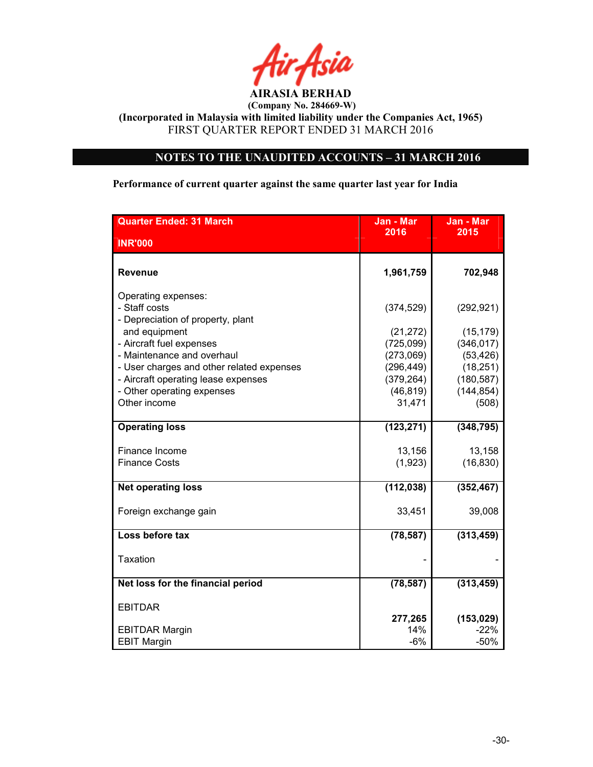

(Incorporated in Malaysia with limited liability under the Companies Act, 1965) FIRST QUARTER REPORT ENDED 31 MARCH 2016

### NOTES TO THE UNAUDITED ACCOUNTS – 31 MARCH 2016

Performance of current quarter against the same quarter last year for India

| <b>Quarter Ended: 31 March</b>                                            | Jan - Mar  | Jan - Mar  |
|---------------------------------------------------------------------------|------------|------------|
| <b>INR'000</b>                                                            | 2016       | 2015       |
|                                                                           |            |            |
| <b>Revenue</b>                                                            | 1,961,759  | 702,948    |
| Operating expenses:<br>- Staff costs<br>- Depreciation of property, plant | (374, 529) | (292, 921) |
| and equipment                                                             | (21, 272)  | (15, 179)  |
| - Aircraft fuel expenses                                                  | (725,099)  | (346, 017) |
| - Maintenance and overhaul                                                | (273,069)  | (53, 426)  |
| - User charges and other related expenses                                 | (296, 449) | (18, 251)  |
| - Aircraft operating lease expenses                                       | (379, 264) | (180, 587) |
| - Other operating expenses                                                | (46, 819)  | (144, 854) |
| Other income                                                              | 31,471     | (508)      |
| <b>Operating loss</b>                                                     | (123, 271) | (348, 795) |
| Finance Income                                                            | 13,156     | 13,158     |
| <b>Finance Costs</b>                                                      | (1,923)    | (16, 830)  |
| <b>Net operating loss</b>                                                 | (112, 038) | (352, 467) |
| Foreign exchange gain                                                     | 33,451     | 39,008     |
| Loss before tax                                                           | (78, 587)  | (313, 459) |
| <b>Taxation</b>                                                           |            |            |
| Net loss for the financial period                                         | (78, 587)  | (313, 459) |
| <b>EBITDAR</b>                                                            |            |            |
|                                                                           | 277,265    | (153, 029) |
| <b>EBITDAR Margin</b>                                                     | 14%        | $-22%$     |
| <b>EBIT Margin</b>                                                        | $-6%$      | $-50%$     |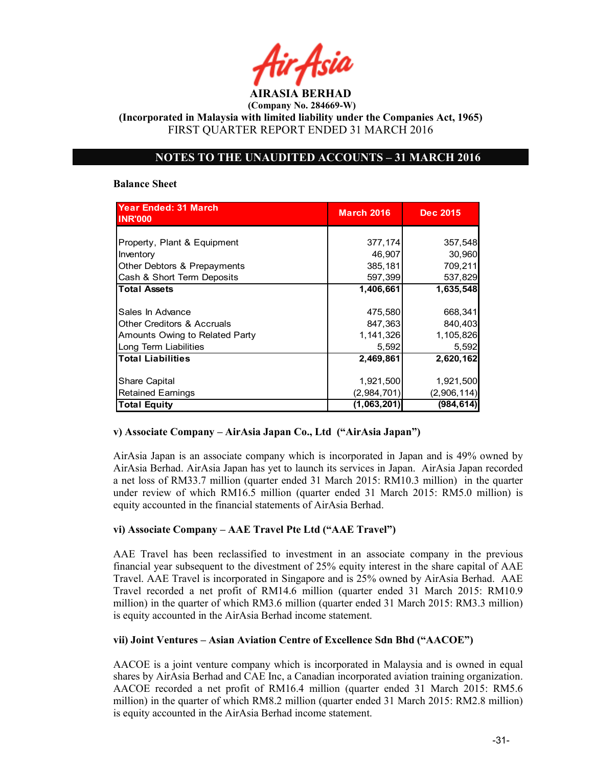AIRASIA BERHAD

(Incorporated in Malaysia with limited liability under the Companies Act, 1965) FIRST QUARTER REPORT ENDED 31 MARCH 2016

### NOTES TO THE UNAUDITED ACCOUNTS – 31 MARCH 2016

### Balance Sheet

| <b>Year Ended: 31 March</b><br><b>INR'000</b> | <b>March 2016</b> | <b>Dec 2015</b> |
|-----------------------------------------------|-------------------|-----------------|
|                                               |                   |                 |
| Property, Plant & Equipment                   | 377,174           | 357,548         |
| Inventory                                     | 46,907            | 30,960          |
| Other Debtors & Prepayments                   | 385,181           | 709,211         |
| Cash & Short Term Deposits                    | 597,399           | 537,829         |
| <b>Total Assets</b>                           | 1,406,661         | 1,635,548       |
|                                               |                   |                 |
| Sales In Advance                              | 475,580           | 668,341         |
| <b>Other Creditors &amp; Accruals</b>         | 847,363           | 840,403         |
| Amounts Owing to Related Party                | 1,141,326         | 1,105,826       |
| Long Term Liabilities                         | 5,592             | 5,592           |
| <b>Total Liabilities</b>                      | 2,469,861         | 2,620,162       |
|                                               |                   |                 |
| Share Capital                                 | 1,921,500         | 1,921,500       |
| <b>Retained Earnings</b>                      | (2,984,701)       | (2,906,114)     |
| <b>Total Equity</b>                           | (1,063,201)       | (984, 614)      |

### v) Associate Company – AirAsia Japan Co., Ltd ("AirAsia Japan")

AirAsia Japan is an associate company which is incorporated in Japan and is 49% owned by AirAsia Berhad. AirAsia Japan has yet to launch its services in Japan. AirAsia Japan recorded a net loss of RM33.7 million (quarter ended 31 March 2015: RM10.3 million) in the quarter under review of which RM16.5 million (quarter ended 31 March 2015: RM5.0 million) is equity accounted in the financial statements of AirAsia Berhad.

### vi) Associate Company – AAE Travel Pte Ltd ("AAE Travel")

AAE Travel has been reclassified to investment in an associate company in the previous financial year subsequent to the divestment of 25% equity interest in the share capital of AAE Travel. AAE Travel is incorporated in Singapore and is 25% owned by AirAsia Berhad. AAE Travel recorded a net profit of RM14.6 million (quarter ended 31 March 2015: RM10.9 million) in the quarter of which RM3.6 million (quarter ended 31 March 2015: RM3.3 million) is equity accounted in the AirAsia Berhad income statement.

### vii) Joint Ventures – Asian Aviation Centre of Excellence Sdn Bhd ("AACOE")

AACOE is a joint venture company which is incorporated in Malaysia and is owned in equal shares by AirAsia Berhad and CAE Inc, a Canadian incorporated aviation training organization. AACOE recorded a net profit of RM16.4 million (quarter ended 31 March 2015: RM5.6 million) in the quarter of which RM8.2 million (quarter ended 31 March 2015: RM2.8 million) is equity accounted in the AirAsia Berhad income statement.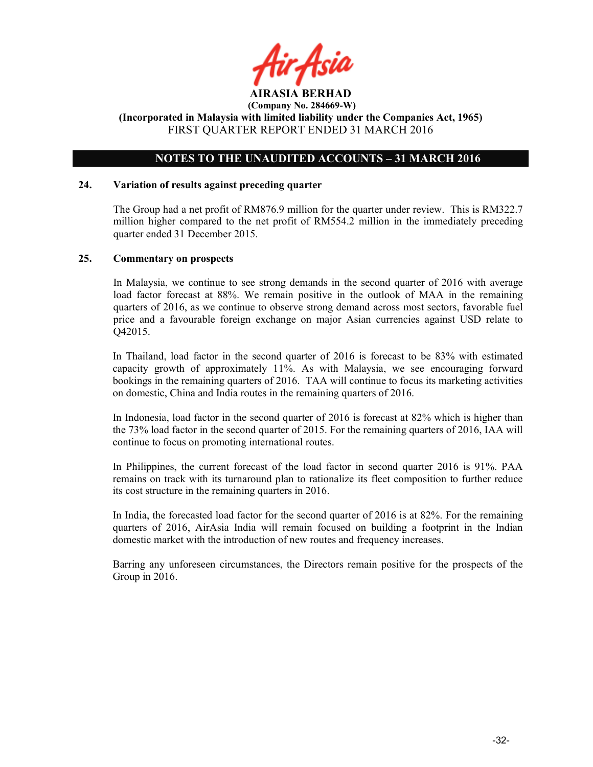

### NOTES TO THE UNAUDITED ACCOUNTS – 31 MARCH 2016

### 24. Variation of results against preceding quarter

The Group had a net profit of RM876.9 million for the quarter under review. This is RM322.7 million higher compared to the net profit of RM554.2 million in the immediately preceding quarter ended 31 December 2015.

### 25. Commentary on prospects

In Malaysia, we continue to see strong demands in the second quarter of 2016 with average load factor forecast at 88%. We remain positive in the outlook of MAA in the remaining quarters of 2016, as we continue to observe strong demand across most sectors, favorable fuel price and a favourable foreign exchange on major Asian currencies against USD relate to Q42015.

In Thailand, load factor in the second quarter of 2016 is forecast to be 83% with estimated capacity growth of approximately  $11\%$ . As with Malaysia, we see encouraging forward bookings in the remaining quarters of 2016. TAA will continue to focus its marketing activities on domestic, China and India routes in the remaining quarters of 2016.

In Indonesia, load factor in the second quarter of 2016 is forecast at 82% which is higher than the 73% load factor in the second quarter of 2015. For the remaining quarters of 2016, IAA will continue to focus on promoting international routes.

In Philippines, the current forecast of the load factor in second quarter 2016 is 91%. PAA remains on track with its turnaround plan to rationalize its fleet composition to further reduce its cost structure in the remaining quarters in 2016.

In India, the forecasted load factor for the second quarter of 2016 is at 82%. For the remaining quarters of 2016, AirAsia India will remain focused on building a footprint in the Indian domestic market with the introduction of new routes and frequency increases.

Barring any unforeseen circumstances, the Directors remain positive for the prospects of the Group in 2016.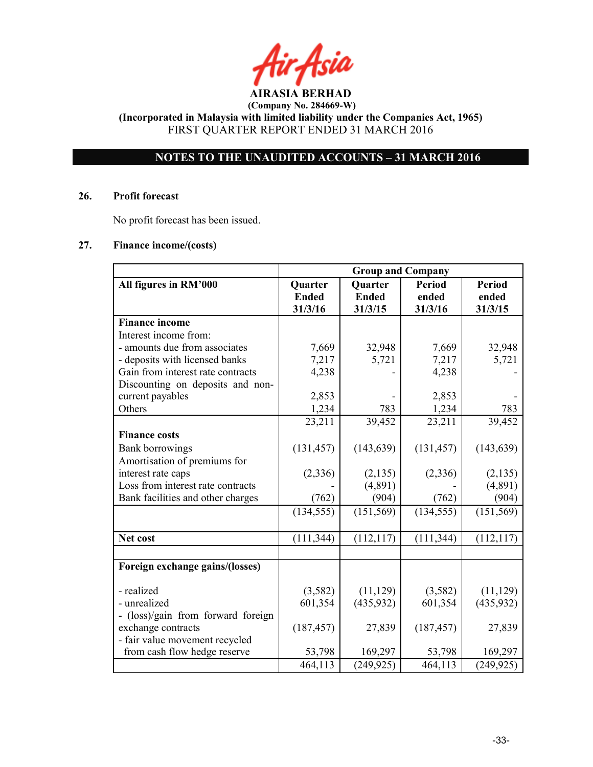### NOTES TO THE UNAUDITED ACCOUNTS – 31 MARCH 2016

### 26. Profit forecast

No profit forecast has been issued.

### 27. Finance income/(costs)

|                                    | <b>Group and Company</b> |                         |                  |               |
|------------------------------------|--------------------------|-------------------------|------------------|---------------|
| All figures in RM'000              | Quarter                  | Quarter                 | <b>Period</b>    | <b>Period</b> |
|                                    | <b>Ended</b><br>31/3/16  | <b>Ended</b><br>31/3/15 | ended<br>31/3/16 | ended         |
| <b>Finance income</b>              |                          |                         |                  | 31/3/15       |
| Interest income from:              |                          |                         |                  |               |
| - amounts due from associates      | 7,669                    | 32,948                  | 7,669            | 32,948        |
| - deposits with licensed banks     | 7,217                    | 5,721                   | 7,217            | 5,721         |
| Gain from interest rate contracts  | 4,238                    |                         | 4,238            |               |
| Discounting on deposits and non-   |                          |                         |                  |               |
| current payables                   | 2,853                    |                         | 2,853            |               |
| Others                             | 1,234                    | 783                     | 1,234            | 783           |
|                                    | 23,211                   | 39,452                  | 23,211           | 39,452        |
| <b>Finance costs</b>               |                          |                         |                  |               |
| <b>Bank borrowings</b>             | (131, 457)               | (143, 639)              | (131, 457)       | (143, 639)    |
| Amortisation of premiums for       |                          |                         |                  |               |
| interest rate caps                 | (2, 336)                 | (2,135)                 | (2,336)          | (2, 135)      |
| Loss from interest rate contracts  |                          | (4,891)                 |                  | (4,891)       |
| Bank facilities and other charges  | (762)                    | (904)                   | (762)            | (904)         |
|                                    | (134, 555)               | (151, 569)              | (134, 555)       | (151, 569)    |
|                                    |                          |                         |                  |               |
| Net cost                           | (111, 344)               | (112, 117)              | (111, 344)       | (112, 117)    |
|                                    |                          |                         |                  |               |
| Foreign exchange gains/(losses)    |                          |                         |                  |               |
| - realized                         | (3,582)                  | (11, 129)               | (3,582)          | (11, 129)     |
| - unrealized                       | 601,354                  | (435, 932)              | 601,354          | (435, 932)    |
| - (loss)/gain from forward foreign |                          |                         |                  |               |
| exchange contracts                 | (187, 457)               | 27,839                  | (187, 457)       | 27,839        |
| - fair value movement recycled     |                          |                         |                  |               |
| from cash flow hedge reserve       | 53,798                   | 169,297                 | 53,798           | 169,297       |
|                                    | 464,113                  | (249, 925)              | 464,113          | (249, 925)    |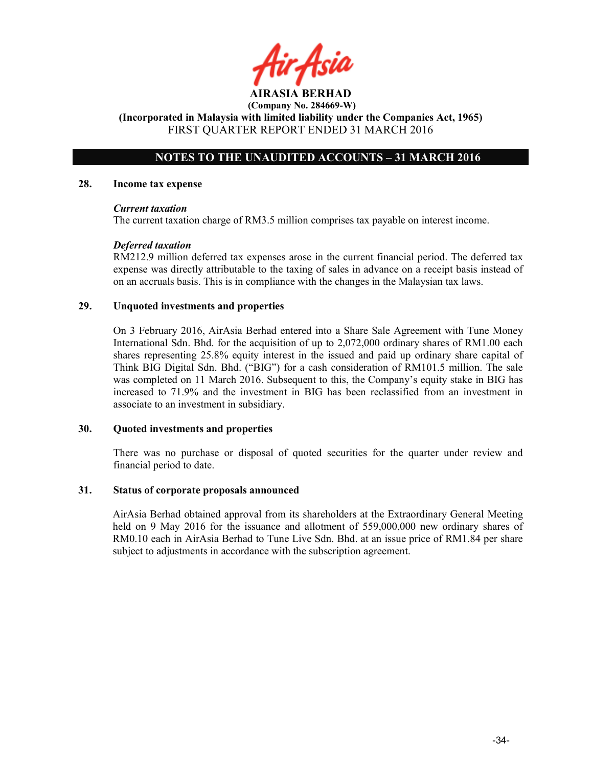### NOTES TO THE UNAUDITED ACCOUNTS – 31 MARCH 2016

### 28. Income tax expense

### Current taxation

The current taxation charge of RM3.5 million comprises tax payable on interest income.

### Deferred taxation

RM212.9 million deferred tax expenses arose in the current financial period. The deferred tax expense was directly attributable to the taxing of sales in advance on a receipt basis instead of on an accruals basis. This is in compliance with the changes in the Malaysian tax laws.

### 29. Unquoted investments and properties

On 3 February 2016, AirAsia Berhad entered into a Share Sale Agreement with Tune Money International Sdn. Bhd. for the acquisition of up to 2,072,000 ordinary shares of RM1.00 each shares representing 25.8% equity interest in the issued and paid up ordinary share capital of Think BIG Digital Sdn. Bhd. ("BIG") for a cash consideration of RM101.5 million. The sale was completed on 11 March 2016. Subsequent to this, the Company's equity stake in BIG has increased to 71.9% and the investment in BIG has been reclassified from an investment in associate to an investment in subsidiary.

### 30. Quoted investments and properties

There was no purchase or disposal of quoted securities for the quarter under review and financial period to date.

### 31. Status of corporate proposals announced

AirAsia Berhad obtained approval from its shareholders at the Extraordinary General Meeting held on 9 May 2016 for the issuance and allotment of 559,000,000 new ordinary shares of RM0.10 each in AirAsia Berhad to Tune Live Sdn. Bhd. at an issue price of RM1.84 per share subject to adjustments in accordance with the subscription agreement.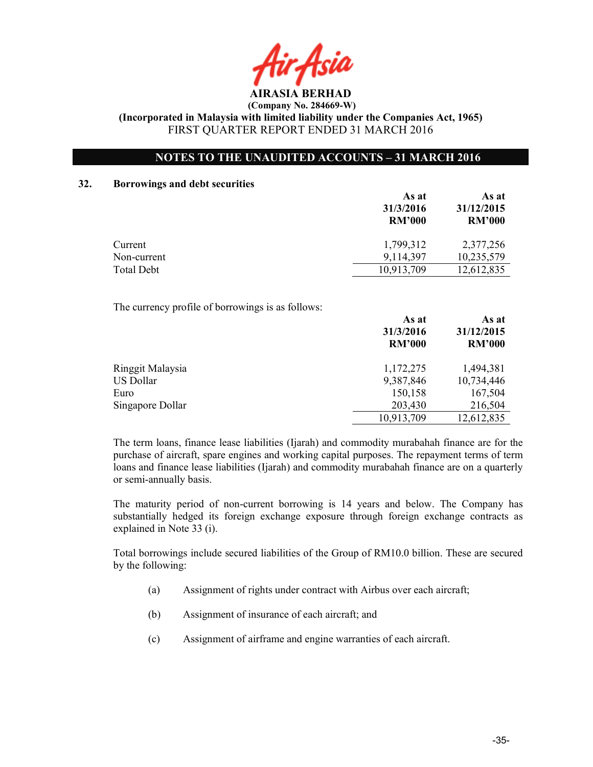AIRASIA BERHAD

### NOTES TO THE UNAUDITED ACCOUNTS – 31 MARCH 2016

### 32. Borrowings and debt securities

|                                                   | As at<br>31/3/2016<br><b>RM'000</b> | As at<br>31/12/2015<br><b>RM'000</b> |
|---------------------------------------------------|-------------------------------------|--------------------------------------|
| Current                                           | 1,799,312                           | 2,377,256                            |
| Non-current                                       | 9,114,397                           | 10,235,579                           |
| <b>Total Debt</b>                                 | 10,913,709                          | 12,612,835                           |
| The currency profile of borrowings is as follows: | As at<br>31/3/2016<br><b>RM'000</b> | As at<br>31/12/2015<br><b>RM'000</b> |
| Ringgit Malaysia                                  | 1,172,275                           | 1,494,381                            |
| <b>US Dollar</b>                                  | 9,387,846                           | 10,734,446                           |
| Euro                                              |                                     |                                      |
|                                                   | 150,158                             | 167,504                              |

The term loans, finance lease liabilities (Ijarah) and commodity murabahah finance are for the purchase of aircraft, spare engines and working capital purposes. The repayment terms of term loans and finance lease liabilities (Ijarah) and commodity murabahah finance are on a quarterly or semi-annually basis.

The maturity period of non-current borrowing is 14 years and below. The Company has substantially hedged its foreign exchange exposure through foreign exchange contracts as explained in Note 33 (i).

Total borrowings include secured liabilities of the Group of RM10.0 billion. These are secured by the following:

- (a) Assignment of rights under contract with Airbus over each aircraft;
- (b) Assignment of insurance of each aircraft; and
- (c) Assignment of airframe and engine warranties of each aircraft.

10,913,709 12,612,835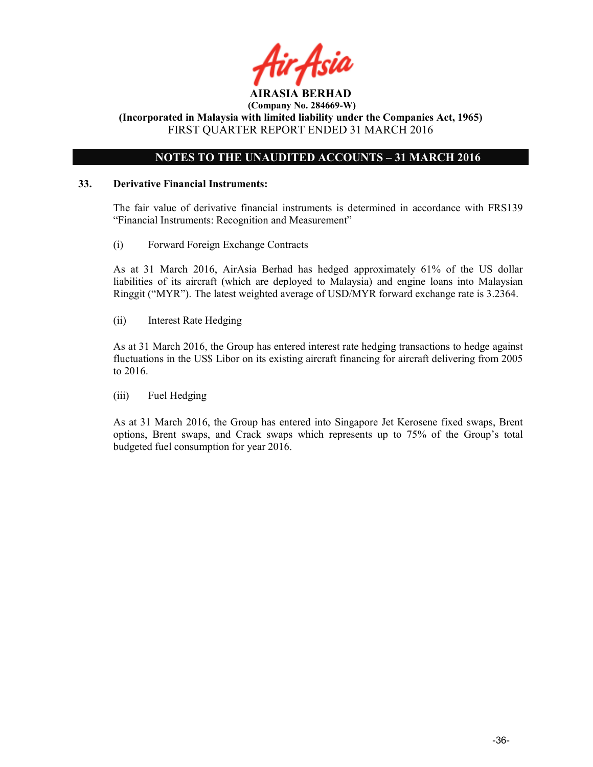

### NOTES TO THE UNAUDITED ACCOUNTS – 31 MARCH 2016

### 33. Derivative Financial Instruments:

The fair value of derivative financial instruments is determined in accordance with FRS139 "Financial Instruments: Recognition and Measurement"

(i) Forward Foreign Exchange Contracts

As at 31 March 2016, AirAsia Berhad has hedged approximately 61% of the US dollar liabilities of its aircraft (which are deployed to Malaysia) and engine loans into Malaysian Ringgit ("MYR"). The latest weighted average of USD/MYR forward exchange rate is 3.2364.

(ii) Interest Rate Hedging

As at 31 March 2016, the Group has entered interest rate hedging transactions to hedge against fluctuations in the US\$ Libor on its existing aircraft financing for aircraft delivering from 2005 to 2016.

(iii) Fuel Hedging

As at 31 March 2016, the Group has entered into Singapore Jet Kerosene fixed swaps, Brent options, Brent swaps, and Crack swaps which represents up to 75% of the Group's total budgeted fuel consumption for year 2016.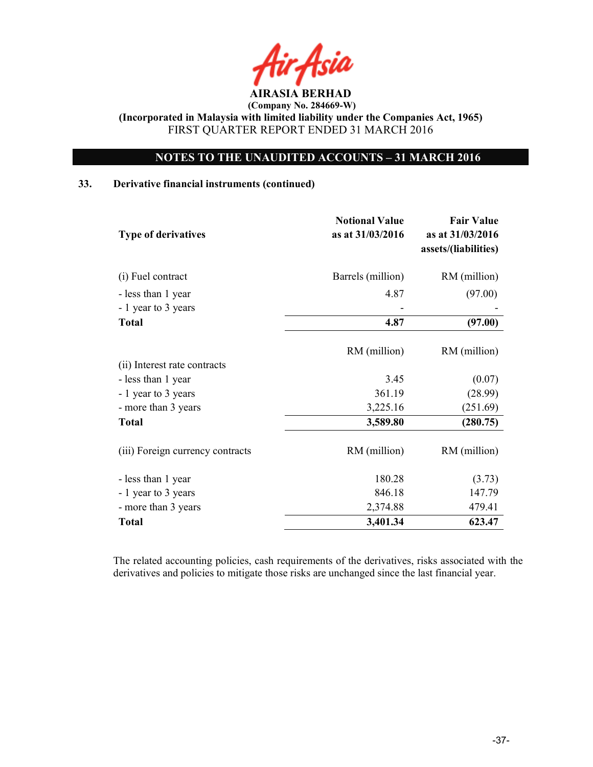### NOTES TO THE UNAUDITED ACCOUNTS – 31 MARCH 2016

### 33. Derivative financial instruments (continued)

| <b>Type of derivatives</b>       | <b>Notional Value</b><br>as at 31/03/2016 | <b>Fair Value</b><br>as at 31/03/2016<br>assets/(liabilities) |
|----------------------------------|-------------------------------------------|---------------------------------------------------------------|
| (i) Fuel contract                | Barrels (million)                         | RM (million)                                                  |
| - less than 1 year               | 4.87                                      | (97.00)                                                       |
| - 1 year to 3 years              |                                           |                                                               |
| <b>Total</b>                     | 4.87                                      | (97.00)                                                       |
|                                  | RM (million)                              | RM (million)                                                  |
| (ii) Interest rate contracts     |                                           |                                                               |
| - less than 1 year               | 3.45                                      | (0.07)                                                        |
| - 1 year to 3 years              | 361.19                                    | (28.99)                                                       |
| - more than 3 years              | 3,225.16                                  | (251.69)                                                      |
| <b>Total</b>                     | 3,589.80                                  | (280.75)                                                      |
| (iii) Foreign currency contracts | RM (million)                              | RM (million)                                                  |
| - less than 1 year               | 180.28                                    | (3.73)                                                        |
| - 1 year to 3 years              | 846.18                                    | 147.79                                                        |
| - more than 3 years              | 2,374.88                                  | 479.41                                                        |
| <b>Total</b>                     | 3,401.34                                  | 623.47                                                        |

The related accounting policies, cash requirements of the derivatives, risks associated with the derivatives and policies to mitigate those risks are unchanged since the last financial year.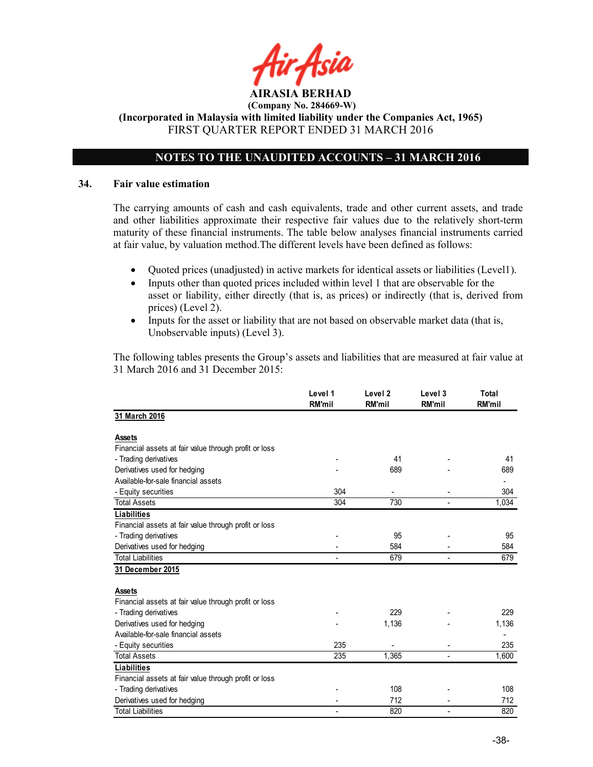### NOTES TO THE UNAUDITED ACCOUNTS – 31 MARCH 2016

### 34. Fair value estimation

The carrying amounts of cash and cash equivalents, trade and other current assets, and trade and other liabilities approximate their respective fair values due to the relatively short-term maturity of these financial instruments. The table below analyses financial instruments carried at fair value, by valuation method.The different levels have been defined as follows:

- Quoted prices (unadjusted) in active markets for identical assets or liabilities (Level1).
- Inputs other than quoted prices included within level 1 that are observable for the asset or liability, either directly (that is, as prices) or indirectly (that is, derived from prices) (Level 2).
- Inputs for the asset or liability that are not based on observable market data (that is, Unobservable inputs) (Level 3).

The following tables presents the Group's assets and liabilities that are measured at fair value at 31 March 2016 and 31 December 2015:

|                                                       | Level 1<br><b>RM'mil</b> | Level <sub>2</sub><br><b>RM'mil</b> | Level 3<br><b>RM'mil</b> | Total<br><b>RM'mil</b> |
|-------------------------------------------------------|--------------------------|-------------------------------------|--------------------------|------------------------|
| 31 March 2016                                         |                          |                                     |                          |                        |
| <b>Assets</b>                                         |                          |                                     |                          |                        |
| Financial assets at fair value through profit or loss |                          |                                     |                          |                        |
| - Trading derivatives                                 |                          | 41                                  |                          | 41                     |
| Derivatives used for hedging                          |                          | 689                                 |                          | 689                    |
| Available-for-sale financial assets                   |                          |                                     |                          |                        |
| - Equity securities                                   | 304                      |                                     |                          | 304                    |
| <b>Total Assets</b>                                   | 304                      | 730                                 |                          | 1,034                  |
| <b>Liabilities</b>                                    |                          |                                     |                          |                        |
| Financial assets at fair value through profit or loss |                          |                                     |                          |                        |
| - Trading derivatives                                 |                          | 95                                  |                          | 95                     |
| Derivatives used for hedging                          |                          | 584                                 |                          | 584                    |
| <b>Total Liabilities</b>                              | $\blacksquare$           | 679                                 | ÷                        | 679                    |
| 31 December 2015                                      |                          |                                     |                          |                        |
| <b>Assets</b>                                         |                          |                                     |                          |                        |
| Financial assets at fair value through profit or loss |                          |                                     |                          |                        |
| - Trading derivatives                                 |                          | 229                                 |                          | 229                    |
| Derivatives used for hedging                          |                          | 1,136                               |                          | 1,136                  |
| Available-for-sale financial assets                   |                          |                                     |                          |                        |
| - Equity securities                                   | 235                      |                                     |                          | 235                    |
| <b>Total Assets</b>                                   | 235                      | 1,365                               |                          | 1,600                  |
| <b>Liabilities</b>                                    |                          |                                     |                          |                        |
| Financial assets at fair value through profit or loss |                          |                                     |                          |                        |
| - Trading derivatives                                 |                          | 108                                 |                          | 108                    |
| Derivatives used for hedging                          | ٠                        | 712                                 |                          | 712                    |
| <b>Total Liabilities</b>                              |                          | 820                                 |                          | 820                    |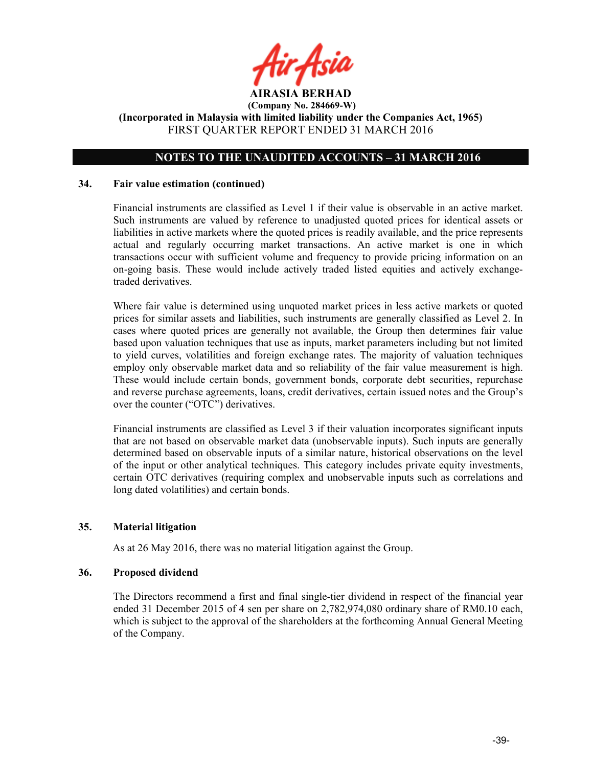

### NOTES TO THE UNAUDITED ACCOUNTS – 31 MARCH 2016

### 34. Fair value estimation (continued)

Financial instruments are classified as Level 1 if their value is observable in an active market. Such instruments are valued by reference to unadjusted quoted prices for identical assets or liabilities in active markets where the quoted prices is readily available, and the price represents actual and regularly occurring market transactions. An active market is one in which transactions occur with sufficient volume and frequency to provide pricing information on an on-going basis. These would include actively traded listed equities and actively exchangetraded derivatives.

Where fair value is determined using unquoted market prices in less active markets or quoted prices for similar assets and liabilities, such instruments are generally classified as Level 2. In cases where quoted prices are generally not available, the Group then determines fair value based upon valuation techniques that use as inputs, market parameters including but not limited to yield curves, volatilities and foreign exchange rates. The majority of valuation techniques employ only observable market data and so reliability of the fair value measurement is high. These would include certain bonds, government bonds, corporate debt securities, repurchase and reverse purchase agreements, loans, credit derivatives, certain issued notes and the Group's over the counter ("OTC") derivatives.

Financial instruments are classified as Level 3 if their valuation incorporates significant inputs that are not based on observable market data (unobservable inputs). Such inputs are generally determined based on observable inputs of a similar nature, historical observations on the level of the input or other analytical techniques. This category includes private equity investments, certain OTC derivatives (requiring complex and unobservable inputs such as correlations and long dated volatilities) and certain bonds.

### 35. Material litigation

As at 26 May 2016, there was no material litigation against the Group.

### 36. Proposed dividend

The Directors recommend a first and final single-tier dividend in respect of the financial year ended 31 December 2015 of 4 sen per share on 2,782,974,080 ordinary share of RM0.10 each, which is subject to the approval of the shareholders at the forthcoming Annual General Meeting of the Company.